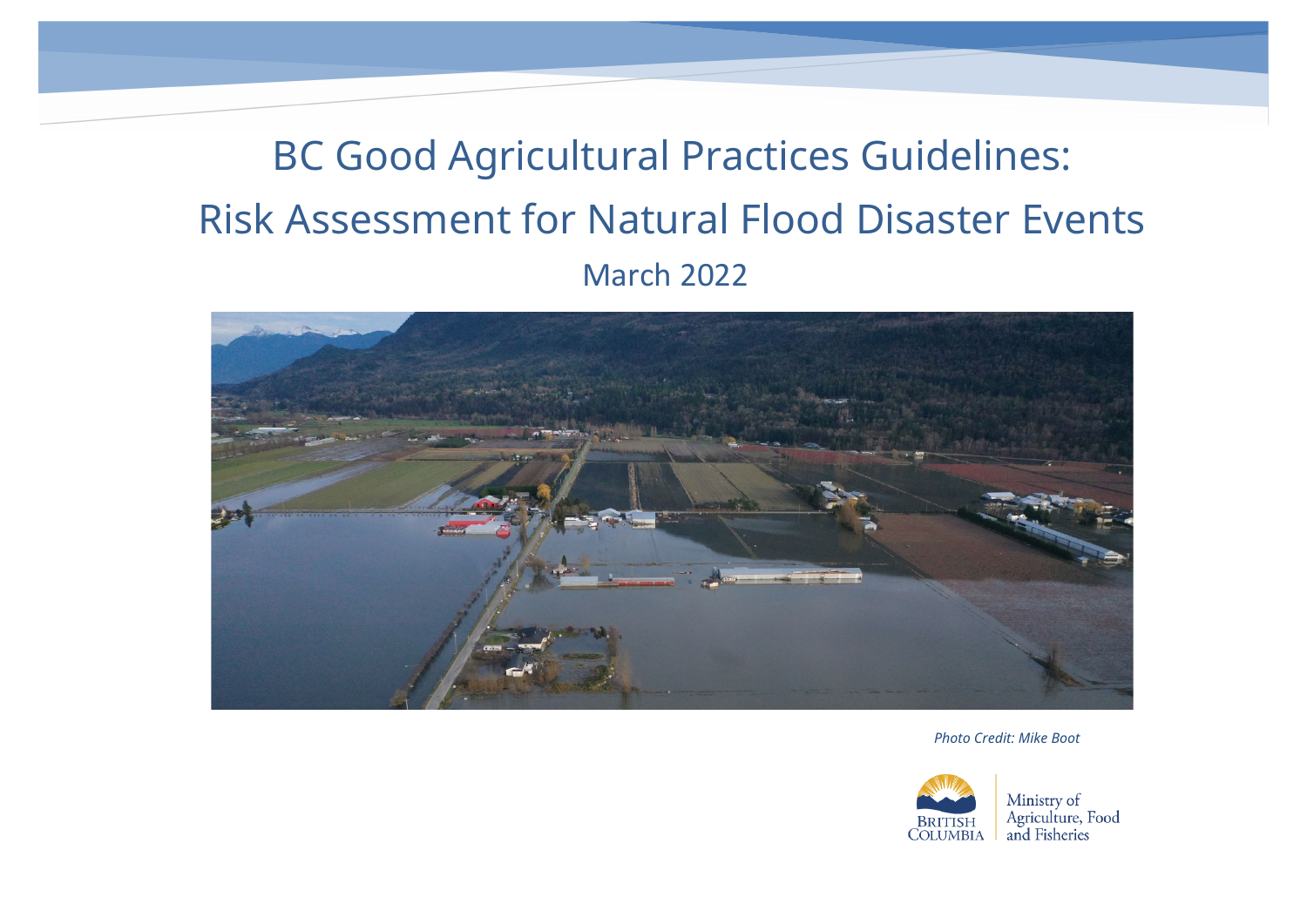# BC Good Agricultural Practices Guidelines: Risk Assessment for Natural Flood Disaster Events March 2022



*Photo Credit: Mike Boot*

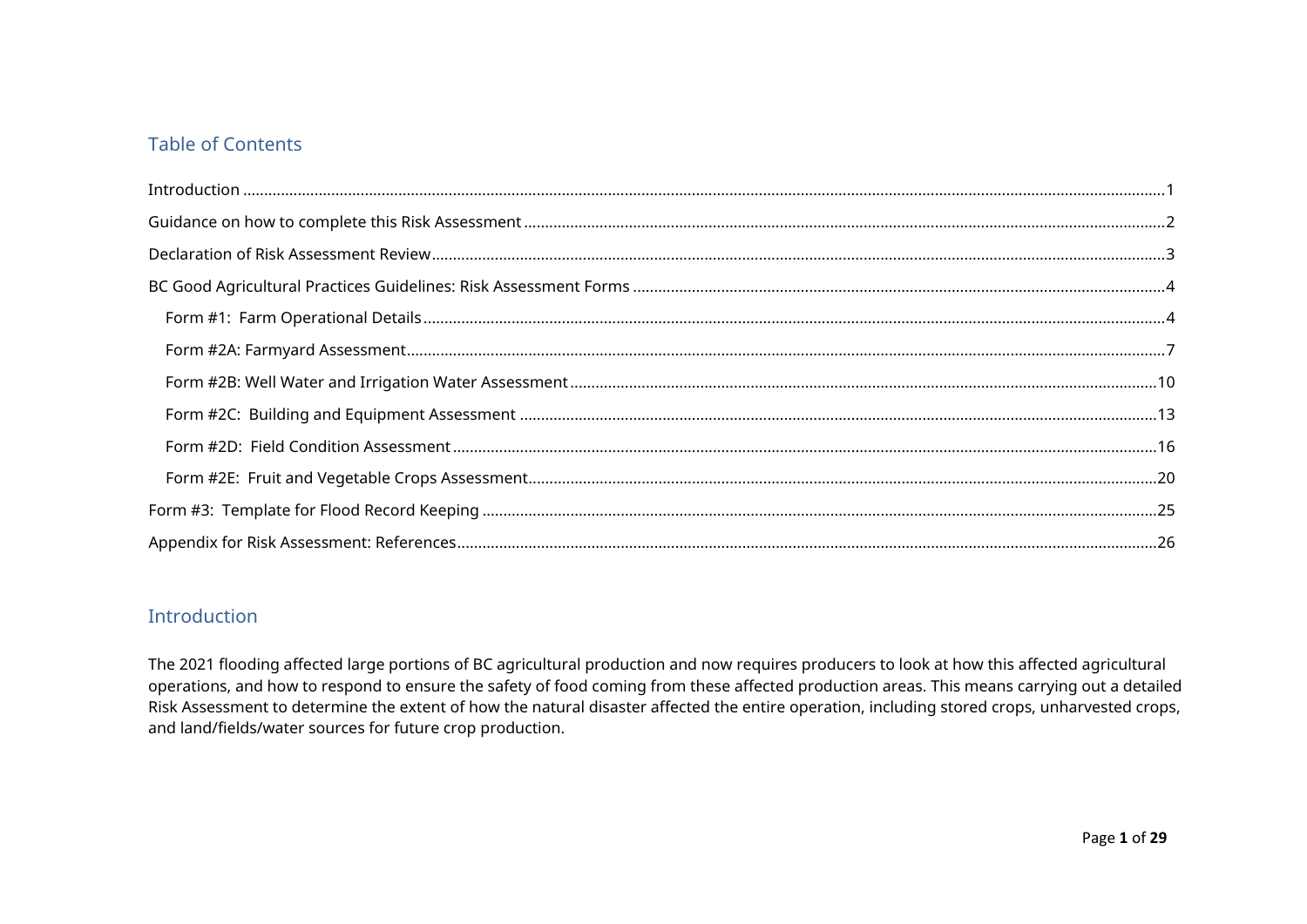## Table of Contents

## <span id="page-1-0"></span>Introduction

The 2021 flooding affected large portions of BC agricultural production and now requires producers to look at how this affected agricultural operations, and how to respond to ensure the safety of food coming from these affected production areas. This means carrying out a detailed Risk Assessment to determine the extent of how the natural disaster affected the entire operation, including stored crops, unharvested crops, and land/fields/water sources for future crop production.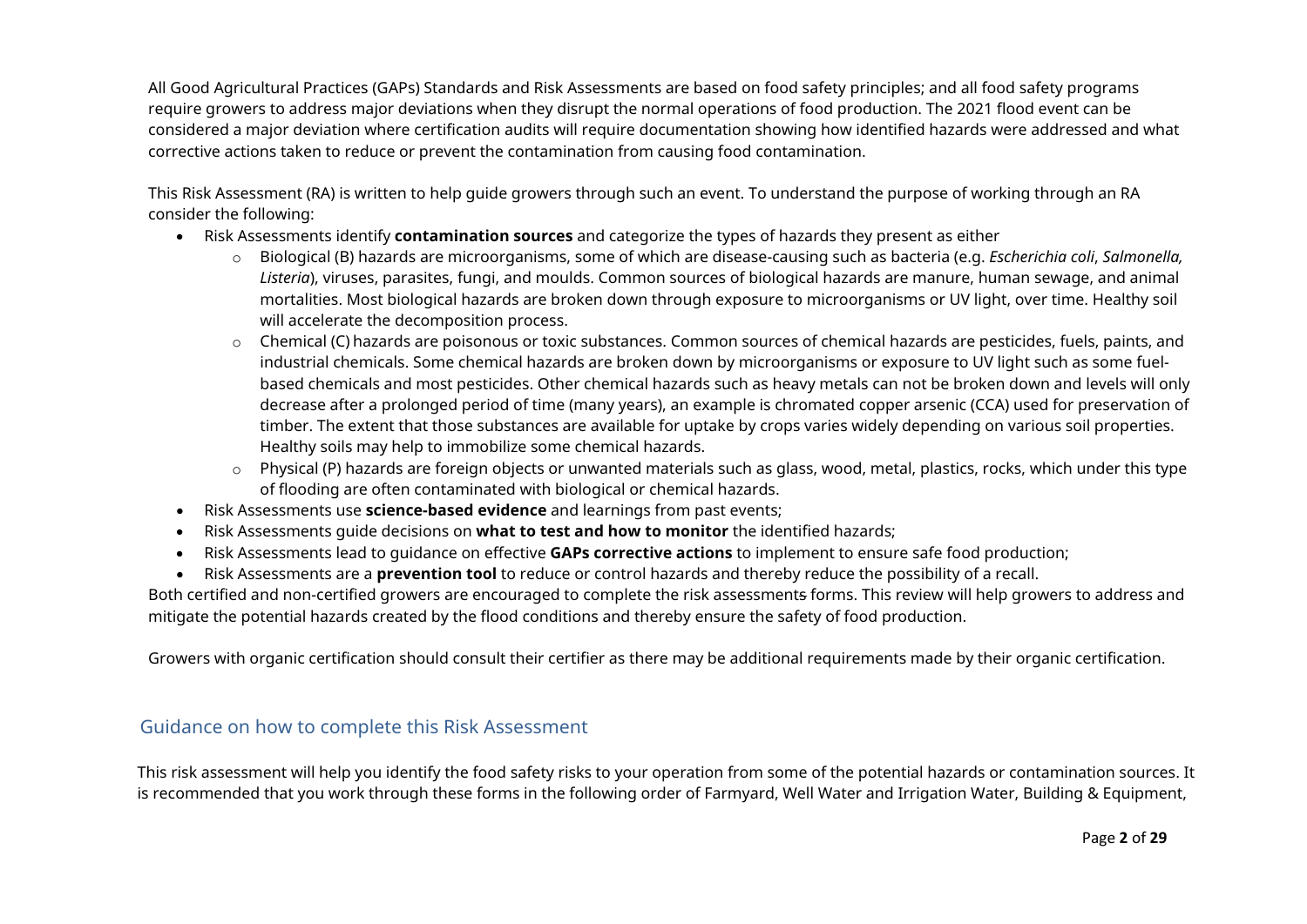All Good Agricultural Practices (GAPs) Standards and Risk Assessments are based on food safety principles; and all food safety programs require growers to address major deviations when they disrupt the normal operations of food production. The 2021 flood event can be considered a major deviation where certification audits will require documentation showing how identified hazards were addressed and what corrective actions taken to reduce or prevent the contamination from causing food contamination.

This Risk Assessment (RA) is written to help guide growers through such an event. To understand the purpose of working through an RA consider the following:

- Risk Assessments identify **contamination sources** and categorize the types of hazards they present as either
	- o Biological (B) hazards are microorganisms, some of which are disease-causing such as bacteria (e.g. *Escherichia coli*, *Salmonella, Listeria*), viruses, parasites, fungi, and moulds. Common sources of biological hazards are manure, human sewage, and animal mortalities. Most biological hazards are broken down through exposure to microorganisms or UV light, over time. Healthy soil will accelerate the decomposition process.
	- $\circ$  Chemical (C) hazards are poisonous or toxic substances. Common sources of chemical hazards are pesticides, fuels, paints, and industrial chemicals. Some chemical hazards are broken down by microorganisms or exposure to UV light such as some fuelbased chemicals and most pesticides. Other chemical hazards such as heavy metals can not be broken down and levels will only decrease after a prolonged period of time (many years), an example is chromated copper arsenic (CCA) used for preservation of timber. The extent that those substances are available for uptake by crops varies widely depending on various soil properties. Healthy soils may help to immobilize some chemical hazards.
	- o Physical (P) hazards are foreign objects or unwanted materials such as glass, wood, metal, plastics, rocks, which under this type of flooding are often contaminated with biological or chemical hazards.
- Risk Assessments use **science-based evidence** and learnings from past events;
- Risk Assessments guide decisions on **what to test and how to monitor** the identified hazards;
- Risk Assessments lead to guidance on effective **GAPs corrective actions** to implement to ensure safe food production;
- Risk Assessments are a **prevention tool** to reduce or control hazards and thereby reduce the possibility of a recall.

Both certified and non-certified growers are encouraged to complete the risk assessments forms. This review will help growers to address and mitigate the potential hazards created by the flood conditions and thereby ensure the safety of food production.

Growers with organic certification should consult their certifier as there may be additional requirements made by their organic certification.

## <span id="page-2-0"></span>Guidance on how to complete this Risk Assessment

This risk assessment will help you identify the food safety risks to your operation from some of the potential hazards or contamination sources. It is recommended that you work through these forms in the following order of Farmyard, Well Water and Irrigation Water, Building & Equipment,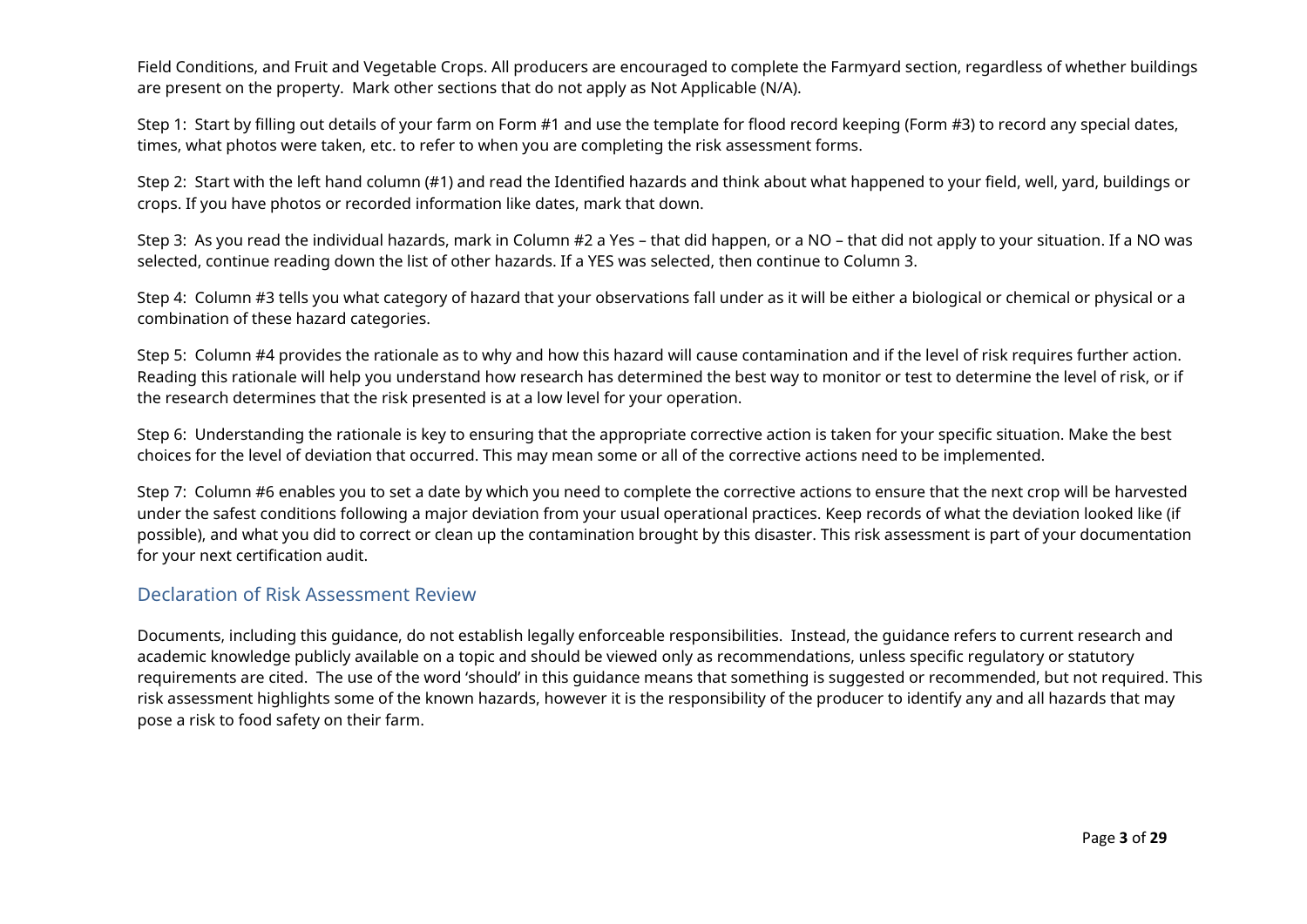Field Conditions, and Fruit and Vegetable Crops. All producers are encouraged to complete the Farmyard section, regardless of whether buildings are present on the property. Mark other sections that do not apply as Not Applicable (N/A).

Step 1: Start by filling out details of your farm on Form #1 and use the template for flood record keeping (Form #3) to record any special dates, times, what photos were taken, etc. to refer to when you are completing the risk assessment forms.

Step 2: Start with the left hand column (#1) and read the Identified hazards and think about what happened to your field, well, yard, buildings or crops. If you have photos or recorded information like dates, mark that down.

Step 3: As you read the individual hazards, mark in Column #2 a Yes – that did happen, or a NO – that did not apply to your situation. If a NO was selected, continue reading down the list of other hazards. If a YES was selected, then continue to Column 3.

Step 4: Column #3 tells you what category of hazard that your observations fall under as it will be either a biological or chemical or physical or a combination of these hazard categories.

Step 5: Column #4 provides the rationale as to why and how this hazard will cause contamination and if the level of risk requires further action. Reading this rationale will help you understand how research has determined the best way to monitor or test to determine the level of risk, or if the research determines that the risk presented is at a low level for your operation.

Step 6: Understanding the rationale is key to ensuring that the appropriate corrective action is taken for your specific situation. Make the best choices for the level of deviation that occurred. This may mean some or all of the corrective actions need to be implemented.

Step 7: Column #6 enables you to set a date by which you need to complete the corrective actions to ensure that the next crop will be harvested under the safest conditions following a major deviation from your usual operational practices. Keep records of what the deviation looked like (if possible), and what you did to correct or clean up the contamination brought by this disaster. This risk assessment is part of your documentation for your next certification audit.

### <span id="page-3-0"></span>Declaration of Risk Assessment Review

Documents, including this guidance, do not establish legally enforceable responsibilities. Instead, the guidance refers to current research and academic knowledge publicly available on a topic and should be viewed only as recommendations, unless specific regulatory or statutory requirements are cited. The use of the word 'should' in this guidance means that something is suggested or recommended, but not required. This risk assessment highlights some of the known hazards, however it is the responsibility of the producer to identify any and all hazards that may pose a risk to food safety on their farm.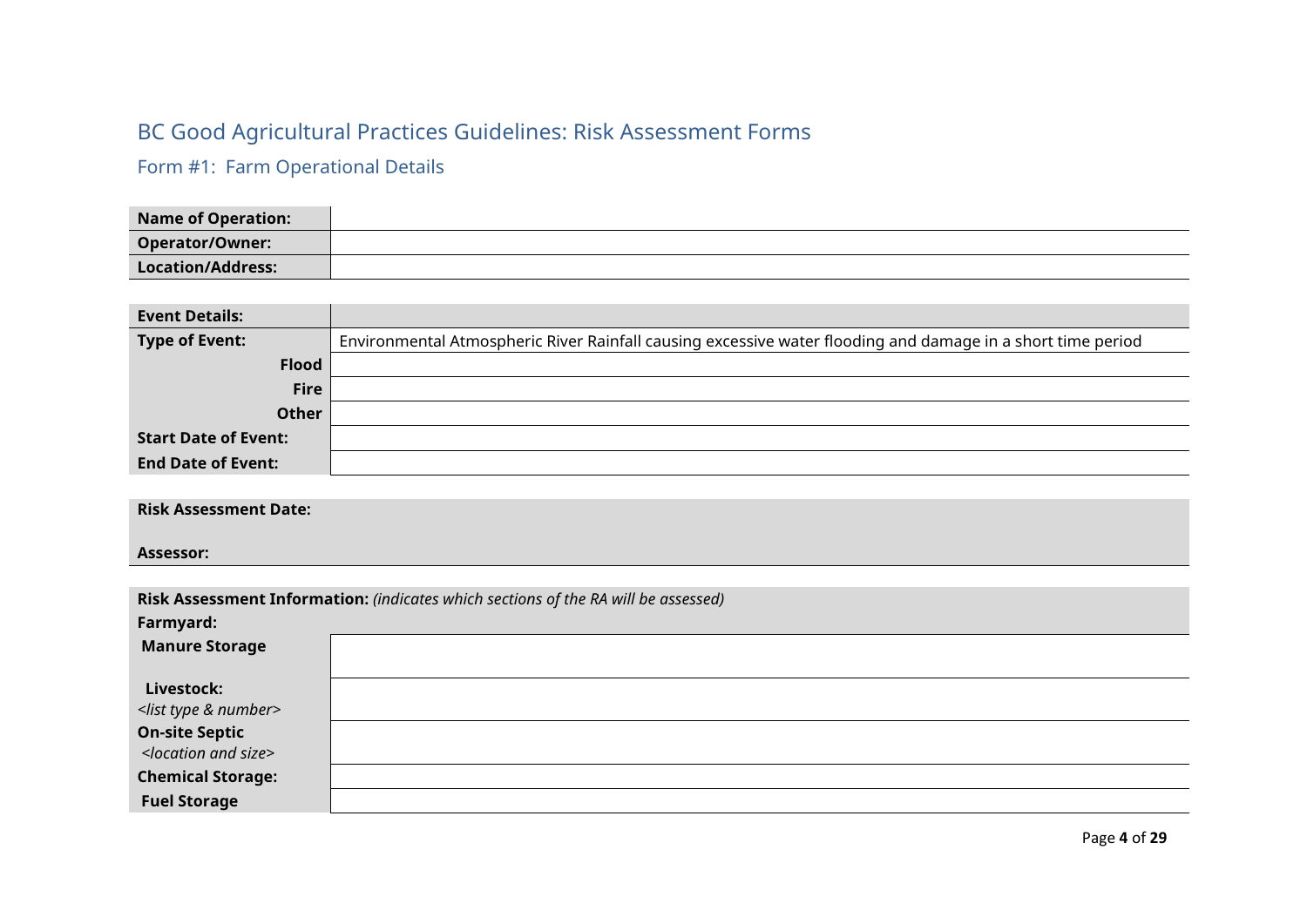# <span id="page-4-0"></span>BC Good Agricultural Practices Guidelines: Risk Assessment Forms

<span id="page-4-1"></span>Form #1: Farm Operational Details

| <b>Name of Operation:</b> |  |
|---------------------------|--|
| Operator/Owner:           |  |
| Location/Address:         |  |

| <b>Event Details:</b>       |                                                                                                             |
|-----------------------------|-------------------------------------------------------------------------------------------------------------|
| <b>Type of Event:</b>       | Environmental Atmospheric River Rainfall causing excessive water flooding and damage in a short time period |
| <b>Flood</b>                |                                                                                                             |
| <b>Fire</b>                 |                                                                                                             |
| <b>Other</b>                |                                                                                                             |
| <b>Start Date of Event:</b> |                                                                                                             |
| <b>End Date of Event:</b>   |                                                                                                             |

**Risk Assessment Date:**

**Assessor:**

|                                      | Risk Assessment Information: (indicates which sections of the RA will be assessed) |
|--------------------------------------|------------------------------------------------------------------------------------|
| Farmyard:                            |                                                                                    |
| <b>Manure Storage</b>                |                                                                                    |
|                                      |                                                                                    |
| Livestock:                           |                                                                                    |
| <list &="" number="" type=""></list> |                                                                                    |
| <b>On-site Septic</b>                |                                                                                    |
| <location and="" size=""></location> |                                                                                    |
| <b>Chemical Storage:</b>             |                                                                                    |
| <b>Fuel Storage</b>                  |                                                                                    |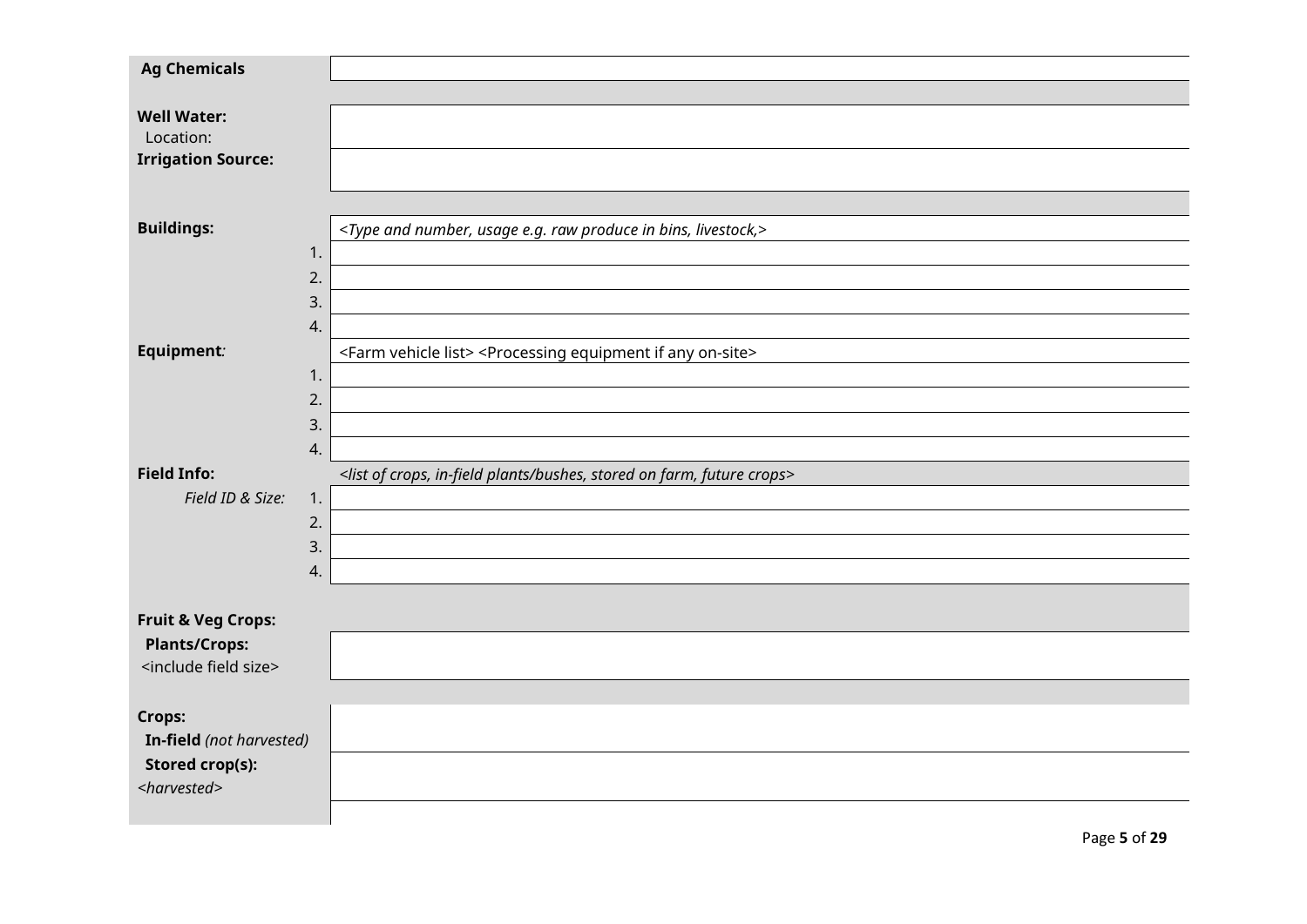| <b>Ag Chemicals</b>                  |                                                                                                            |
|--------------------------------------|------------------------------------------------------------------------------------------------------------|
|                                      |                                                                                                            |
| <b>Well Water:</b>                   |                                                                                                            |
| Location:                            |                                                                                                            |
| <b>Irrigation Source:</b>            |                                                                                                            |
|                                      |                                                                                                            |
| <b>Buildings:</b>                    | <type and="" bins,="" e.g.="" in="" livestock,="" number,="" produce="" raw="" usage=""></type>            |
|                                      | 1.                                                                                                         |
|                                      | 2.                                                                                                         |
|                                      | 3.                                                                                                         |
|                                      | 4.                                                                                                         |
| Equipment:                           | <farm list="" vehicle=""> <processing any="" equipment="" if="" on-site=""></processing></farm>            |
|                                      | 1.                                                                                                         |
|                                      | 2.                                                                                                         |
|                                      | 3.                                                                                                         |
|                                      | 4.                                                                                                         |
| <b>Field Info:</b>                   | <list bushes,="" crops="" crops,="" farm,="" future="" in-field="" of="" on="" plants="" stored=""></list> |
| Field ID & Size:                     | 1.                                                                                                         |
|                                      | 2.                                                                                                         |
|                                      | 3.                                                                                                         |
|                                      | 4.                                                                                                         |
| <b>Fruit &amp; Veg Crops:</b>        |                                                                                                            |
| <b>Plants/Crops:</b>                 |                                                                                                            |
| <include field="" size=""></include> |                                                                                                            |
|                                      |                                                                                                            |
| Crops:                               |                                                                                                            |
| In-field (not harvested)             |                                                                                                            |
| <b>Stored crop(s):</b>               |                                                                                                            |
| <harvested></harvested>              |                                                                                                            |
|                                      |                                                                                                            |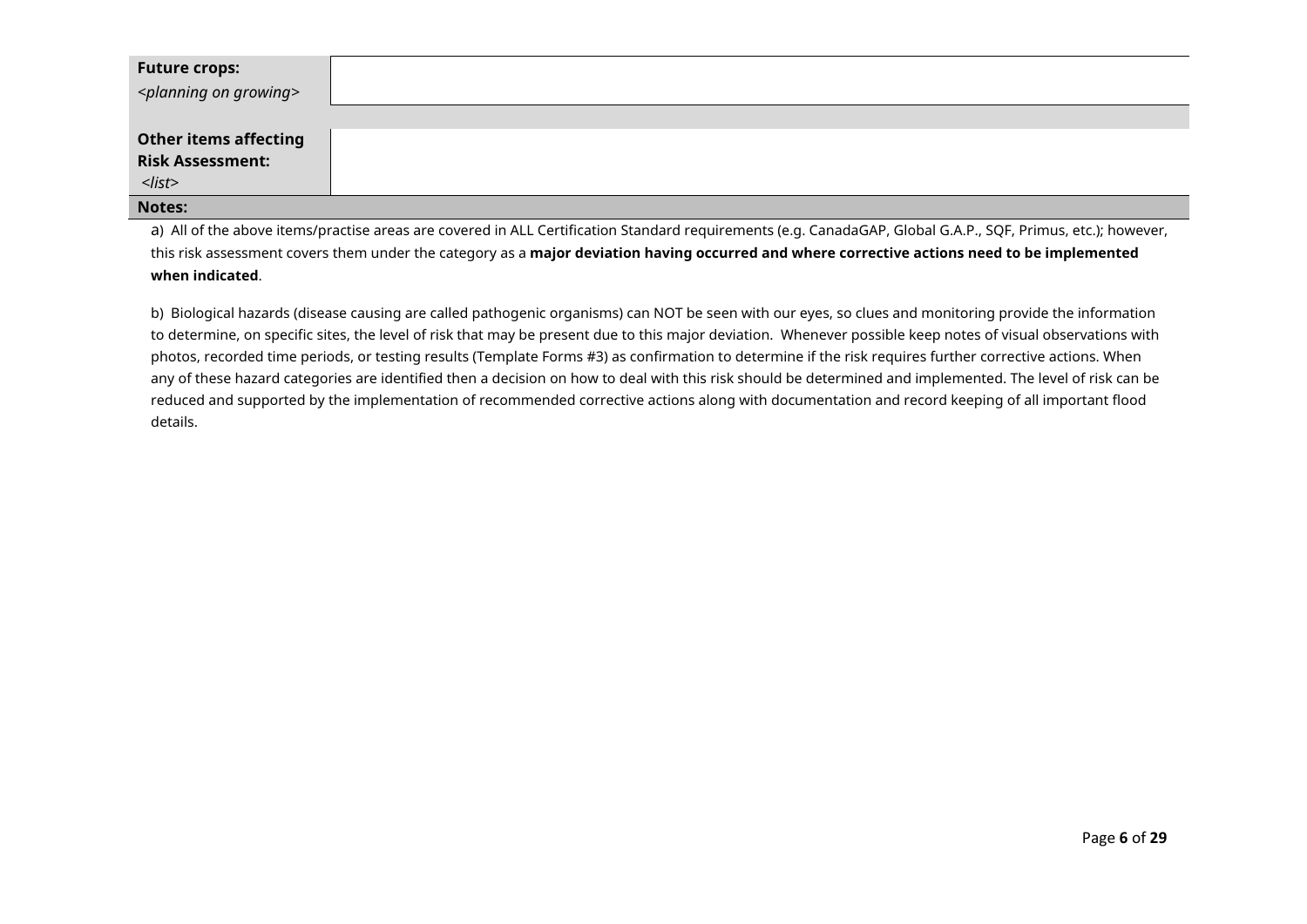| <b>Future crops:</b><br><planning growing="" on=""></planning> |  |
|----------------------------------------------------------------|--|
| <b>Other items affecting</b><br><b>Risk Assessment:</b>        |  |
| $<$ list>                                                      |  |
| Notes:                                                         |  |

a) All of the above items/practise areas are covered in ALL Certification Standard requirements (e.g. CanadaGAP, Global G.A.P., SQF, Primus, etc.); however, this risk assessment covers them under the category as a **major deviation having occurred and where corrective actions need to be implemented when indicated**.

b) Biological hazards (disease causing are called pathogenic organisms) can NOT be seen with our eyes, so clues and monitoring provide the information to determine, on specific sites, the level of risk that may be present due to this major deviation. Whenever possible keep notes of visual observations with photos, recorded time periods, or testing results (Template Forms #3) as confirmation to determine if the risk requires further corrective actions. When any of these hazard categories are identified then a decision on how to deal with this risk should be determined and implemented. The level of risk can be reduced and supported by the implementation of recommended corrective actions along with documentation and record keeping of all important flood details.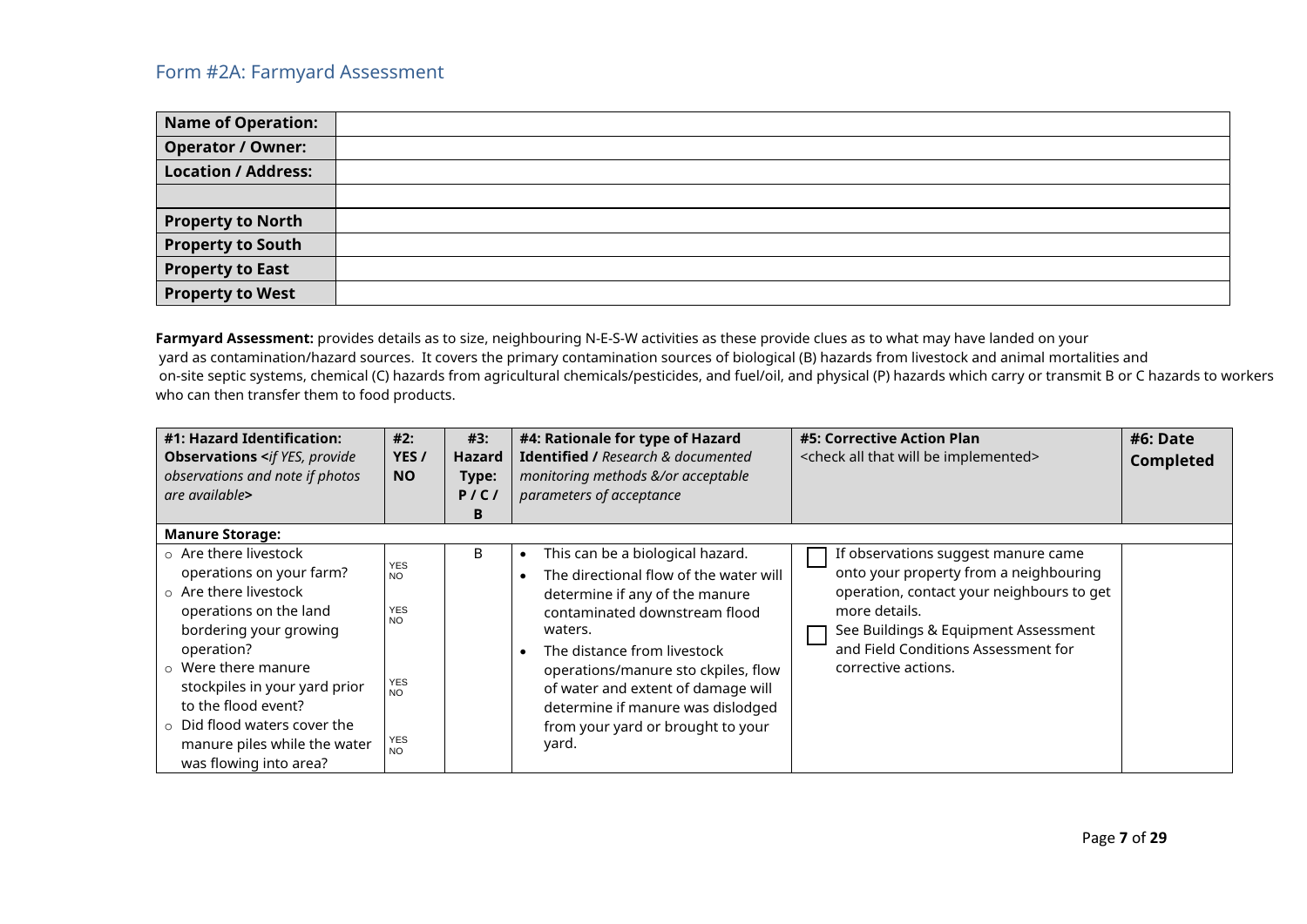<span id="page-7-0"></span>

| <b>Name of Operation:</b>  |  |
|----------------------------|--|
| <b>Operator / Owner:</b>   |  |
| <b>Location / Address:</b> |  |
|                            |  |
| <b>Property to North</b>   |  |
| <b>Property to South</b>   |  |
| <b>Property to East</b>    |  |
| <b>Property to West</b>    |  |

Farmyard Assessment: provides details as to size, neighbouring N-E-S-W activities as these provide clues as to what may have landed on your yard as contamination/hazard sources. It covers the primary contamination sources of biological (B) hazards from livestock and animal mortalities and on-site septic systems, chemical (C) hazards from agricultural chemicals/pesticides, and fuel/oil, and physical (P) hazards which carry or transmit B or C hazards to workers who can then transfer them to food products.

| #1: Hazard Identification:<br><b>Observations <if b="" provide<="" yes,=""><br/>observations and note if photos<br/>are available&gt;</if></b>                                                                                                                                                                                                | #2:<br>YES/<br><b>NO</b>                                                                          | #3:<br><b>Hazard</b><br>Type:<br>P/C/<br>В | #4: Rationale for type of Hazard<br>Identified / Research & documented<br>monitoring methods &/or acceptable<br>parameters of acceptance                                                                                                                                                                                                                                          | #5: Corrective Action Plan<br><check all="" be="" implemented="" that="" will=""></check>                                                                                                                                                         | #6: Date<br><b>Completed</b> |
|-----------------------------------------------------------------------------------------------------------------------------------------------------------------------------------------------------------------------------------------------------------------------------------------------------------------------------------------------|---------------------------------------------------------------------------------------------------|--------------------------------------------|-----------------------------------------------------------------------------------------------------------------------------------------------------------------------------------------------------------------------------------------------------------------------------------------------------------------------------------------------------------------------------------|---------------------------------------------------------------------------------------------------------------------------------------------------------------------------------------------------------------------------------------------------|------------------------------|
| <b>Manure Storage:</b>                                                                                                                                                                                                                                                                                                                        |                                                                                                   |                                            |                                                                                                                                                                                                                                                                                                                                                                                   |                                                                                                                                                                                                                                                   |                              |
| $\circ$ Are there livestock<br>operations on your farm?<br>$\circ$ Are there livestock<br>operations on the land<br>bordering your growing<br>operation?<br>$\circ$ Were there manure<br>stockpiles in your yard prior<br>to the flood event?<br>$\circ$ Did flood waters cover the<br>manure piles while the water<br>was flowing into area? | <b>YES</b><br><b>NO</b><br><b>YES</b><br>NO<br><b>YES</b><br><b>NO</b><br><b>YES</b><br><b>NO</b> | B                                          | This can be a biological hazard.<br>The directional flow of the water will<br>$\bullet$<br>determine if any of the manure<br>contaminated downstream flood<br>waters.<br>The distance from livestock<br>$\bullet$<br>operations/manure sto ckpiles, flow<br>of water and extent of damage will<br>determine if manure was dislodged<br>from your yard or brought to your<br>yard. | If observations suggest manure came<br>onto your property from a neighbouring<br>operation, contact your neighbours to get<br>more details.<br>See Buildings & Equipment Assessment<br>and Field Conditions Assessment for<br>corrective actions. |                              |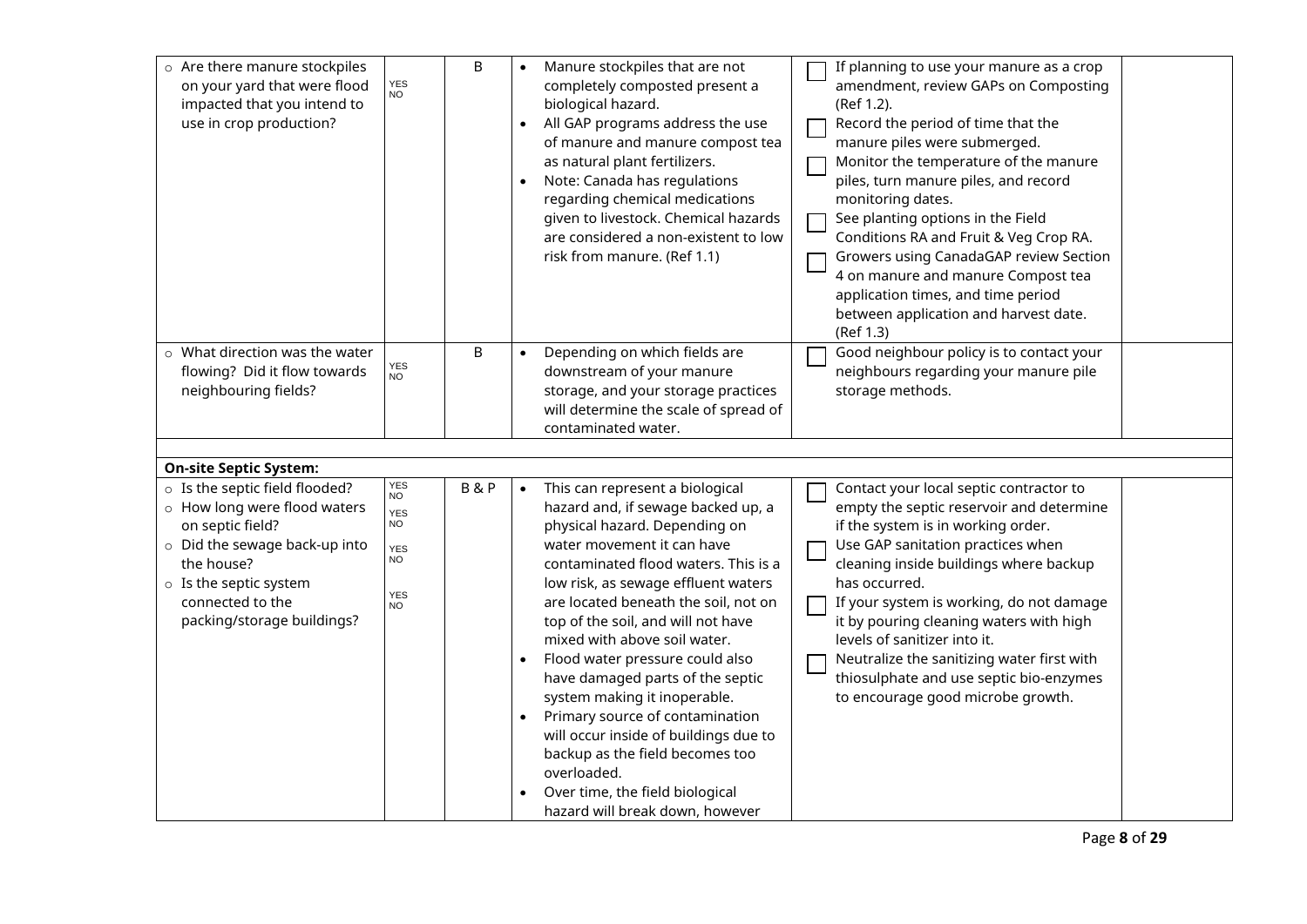| o Are there manure stockpiles<br>on your yard that were flood<br>impacted that you intend to<br>use in crop production?                                                                                             | YES<br>NO                                                             | B              |           | Manure stockpiles that are not<br>completely composted present a<br>biological hazard.<br>All GAP programs address the use<br>of manure and manure compost tea<br>as natural plant fertilizers.<br>Note: Canada has regulations<br>regarding chemical medications<br>given to livestock. Chemical hazards<br>are considered a non-existent to low<br>risk from manure. (Ref 1.1)                                                                                                                                                                                                                                                             | If planning to use your manure as a crop<br>amendment, review GAPs on Composting<br>(Ref 1.2).<br>Record the period of time that the<br>manure piles were submerged.<br>Monitor the temperature of the manure<br>piles, turn manure piles, and record<br>monitoring dates.<br>See planting options in the Field<br>Conditions RA and Fruit & Veg Crop RA.<br>Growers using CanadaGAP review Section<br>4 on manure and manure Compost tea<br>application times, and time period<br>between application and harvest date.<br>(Ref 1.3) |
|---------------------------------------------------------------------------------------------------------------------------------------------------------------------------------------------------------------------|-----------------------------------------------------------------------|----------------|-----------|----------------------------------------------------------------------------------------------------------------------------------------------------------------------------------------------------------------------------------------------------------------------------------------------------------------------------------------------------------------------------------------------------------------------------------------------------------------------------------------------------------------------------------------------------------------------------------------------------------------------------------------------|---------------------------------------------------------------------------------------------------------------------------------------------------------------------------------------------------------------------------------------------------------------------------------------------------------------------------------------------------------------------------------------------------------------------------------------------------------------------------------------------------------------------------------------|
| $\circ$ What direction was the water<br>flowing? Did it flow towards<br>neighbouring fields?                                                                                                                        | YES<br>NO.                                                            | В              |           | Depending on which fields are<br>downstream of your manure<br>storage, and your storage practices<br>will determine the scale of spread of<br>contaminated water.                                                                                                                                                                                                                                                                                                                                                                                                                                                                            | Good neighbour policy is to contact your<br>neighbours regarding your manure pile<br>storage methods.                                                                                                                                                                                                                                                                                                                                                                                                                                 |
|                                                                                                                                                                                                                     |                                                                       |                |           |                                                                                                                                                                                                                                                                                                                                                                                                                                                                                                                                                                                                                                              |                                                                                                                                                                                                                                                                                                                                                                                                                                                                                                                                       |
| <b>On-site Septic System:</b>                                                                                                                                                                                       |                                                                       |                |           |                                                                                                                                                                                                                                                                                                                                                                                                                                                                                                                                                                                                                                              |                                                                                                                                                                                                                                                                                                                                                                                                                                                                                                                                       |
| o Is the septic field flooded?<br>o How long were flood waters<br>on septic field?<br>o Did the sewage back-up into<br>the house?<br>$\circ$ Is the septic system<br>connected to the<br>packing/storage buildings? | YES<br>NO<br>YES<br><b>NO</b><br>YES<br><b>NO</b><br>YES<br><b>NO</b> | <b>B&amp;P</b> | $\bullet$ | This can represent a biological<br>hazard and, if sewage backed up, a<br>physical hazard. Depending on<br>water movement it can have<br>contaminated flood waters. This is a<br>low risk, as sewage effluent waters<br>are located beneath the soil, not on<br>top of the soil, and will not have<br>mixed with above soil water.<br>Flood water pressure could also<br>have damaged parts of the septic<br>system making it inoperable.<br>Primary source of contamination<br>will occur inside of buildings due to<br>backup as the field becomes too<br>overloaded.<br>Over time, the field biological<br>hazard will break down, however | Contact your local septic contractor to<br>empty the septic reservoir and determine<br>if the system is in working order.<br>Use GAP sanitation practices when<br>cleaning inside buildings where backup<br>has occurred.<br>If your system is working, do not damage<br>it by pouring cleaning waters with high<br>levels of sanitizer into it.<br>Neutralize the sanitizing water first with<br>thiosulphate and use septic bio-enzymes<br>to encourage good microbe growth.                                                        |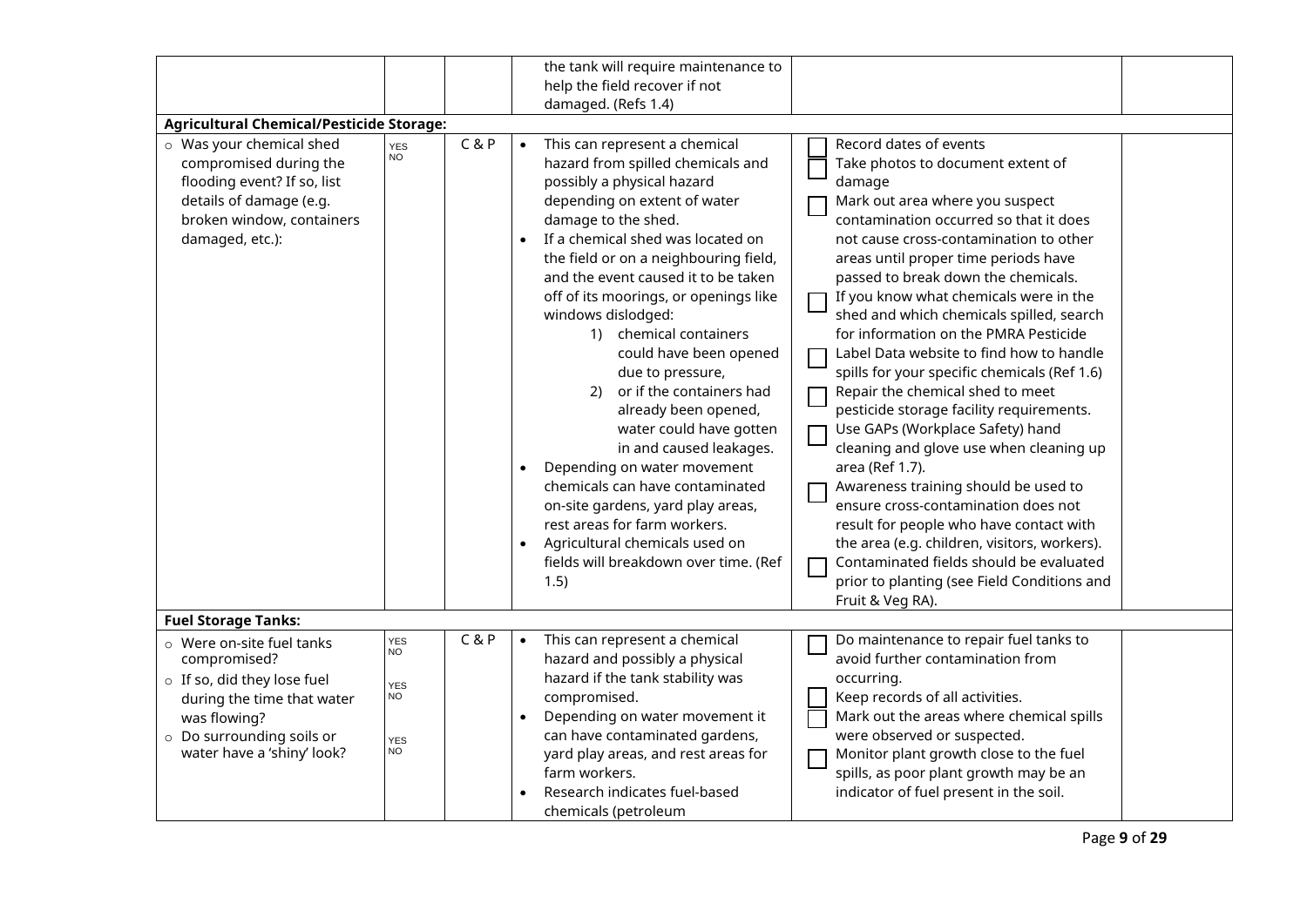|                                                                                                                                                                                                                 |                                                                 |       | the tank will require maintenance to<br>help the field recover if not<br>damaged. (Refs 1.4)                                                                                                                                                                                                                                                                                                                                                                                                                                                                                                                                                                                                                                                                   |                                                                                                                                                                                                                                                                                                                                                                                                                                                                                                                                                                                                                                                                                                                                                                                                                                                                                                                                                              |
|-----------------------------------------------------------------------------------------------------------------------------------------------------------------------------------------------------------------|-----------------------------------------------------------------|-------|----------------------------------------------------------------------------------------------------------------------------------------------------------------------------------------------------------------------------------------------------------------------------------------------------------------------------------------------------------------------------------------------------------------------------------------------------------------------------------------------------------------------------------------------------------------------------------------------------------------------------------------------------------------------------------------------------------------------------------------------------------------|--------------------------------------------------------------------------------------------------------------------------------------------------------------------------------------------------------------------------------------------------------------------------------------------------------------------------------------------------------------------------------------------------------------------------------------------------------------------------------------------------------------------------------------------------------------------------------------------------------------------------------------------------------------------------------------------------------------------------------------------------------------------------------------------------------------------------------------------------------------------------------------------------------------------------------------------------------------|
| <b>Agricultural Chemical/Pesticide Storage:</b><br>o Was your chemical shed<br>compromised during the<br>flooding event? If so, list<br>details of damage (e.g.<br>broken window, containers<br>damaged, etc.): | <b>YES</b><br><b>NO</b>                                         | C & P | This can represent a chemical<br>hazard from spilled chemicals and<br>possibly a physical hazard<br>depending on extent of water<br>damage to the shed.<br>If a chemical shed was located on<br>the field or on a neighbouring field,<br>and the event caused it to be taken<br>off of its moorings, or openings like<br>windows dislodged:<br>1) chemical containers<br>could have been opened<br>due to pressure,<br>or if the containers had<br>(2)<br>already been opened,<br>water could have gotten<br>in and caused leakages.<br>Depending on water movement<br>chemicals can have contaminated<br>on-site gardens, yard play areas,<br>rest areas for farm workers.<br>Agricultural chemicals used on<br>fields will breakdown over time. (Ref<br>1.5) | Record dates of events<br>Take photos to document extent of<br>damage<br>Mark out area where you suspect<br>contamination occurred so that it does<br>not cause cross-contamination to other<br>areas until proper time periods have<br>passed to break down the chemicals.<br>If you know what chemicals were in the<br>shed and which chemicals spilled, search<br>for information on the PMRA Pesticide<br>Label Data website to find how to handle<br>spills for your specific chemicals (Ref 1.6)<br>Repair the chemical shed to meet<br>pesticide storage facility requirements.<br>Use GAPs (Workplace Safety) hand<br>cleaning and glove use when cleaning up<br>area (Ref 1.7).<br>Awareness training should be used to<br>ensure cross-contamination does not<br>result for people who have contact with<br>the area (e.g. children, visitors, workers).<br>Contaminated fields should be evaluated<br>prior to planting (see Field Conditions and |
| <b>Fuel Storage Tanks:</b>                                                                                                                                                                                      |                                                                 |       |                                                                                                                                                                                                                                                                                                                                                                                                                                                                                                                                                                                                                                                                                                                                                                | Fruit & Veg RA).                                                                                                                                                                                                                                                                                                                                                                                                                                                                                                                                                                                                                                                                                                                                                                                                                                                                                                                                             |
| o Were on-site fuel tanks<br>compromised?<br>o If so, did they lose fuel<br>during the time that water<br>was flowing?<br>o Do surrounding soils or<br>water have a 'shiny' look?                               | YES<br>NO<br><b>YES</b><br><b>NO</b><br><b>YES</b><br><b>NO</b> | C & P | This can represent a chemical<br>hazard and possibly a physical<br>hazard if the tank stability was<br>compromised.<br>Depending on water movement it<br>can have contaminated gardens,<br>yard play areas, and rest areas for<br>farm workers.<br>Research indicates fuel-based<br>chemicals (petroleum                                                                                                                                                                                                                                                                                                                                                                                                                                                       | Do maintenance to repair fuel tanks to<br>avoid further contamination from<br>occurring.<br>Keep records of all activities.<br>Mark out the areas where chemical spills<br>were observed or suspected.<br>Monitor plant growth close to the fuel<br>spills, as poor plant growth may be an<br>indicator of fuel present in the soil.                                                                                                                                                                                                                                                                                                                                                                                                                                                                                                                                                                                                                         |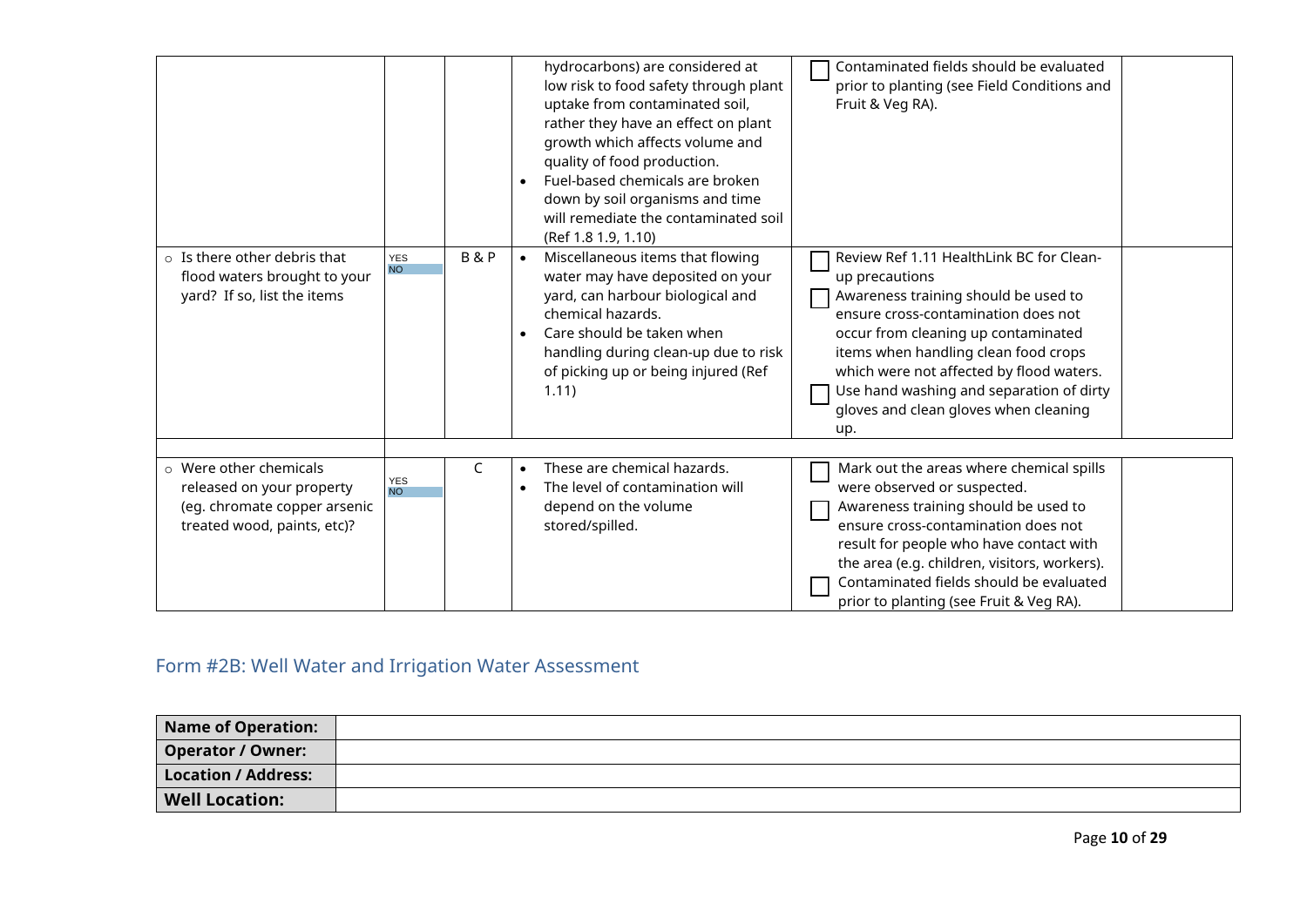|                                                                                                                          |                         |                |           | hydrocarbons) are considered at<br>low risk to food safety through plant<br>uptake from contaminated soil,<br>rather they have an effect on plant<br>growth which affects volume and<br>quality of food production.<br>Fuel-based chemicals are broken<br>down by soil organisms and time<br>will remediate the contaminated soil<br>(Ref 1.8 1.9, 1.10) | Contaminated fields should be evaluated<br>prior to planting (see Field Conditions and<br>Fruit & Veg RA).                                                                                                                                                                                                                                                       |
|--------------------------------------------------------------------------------------------------------------------------|-------------------------|----------------|-----------|----------------------------------------------------------------------------------------------------------------------------------------------------------------------------------------------------------------------------------------------------------------------------------------------------------------------------------------------------------|------------------------------------------------------------------------------------------------------------------------------------------------------------------------------------------------------------------------------------------------------------------------------------------------------------------------------------------------------------------|
| $\circ$ Is there other debris that<br>flood waters brought to your<br>yard? If so, list the items                        | <b>YES</b><br><b>NO</b> | <b>B&amp;P</b> |           | Miscellaneous items that flowing<br>water may have deposited on your<br>yard, can harbour biological and<br>chemical hazards.<br>Care should be taken when<br>handling during clean-up due to risk<br>of picking up or being injured (Ref<br>1.11)                                                                                                       | Review Ref 1.11 HealthLink BC for Clean-<br>up precautions<br>Awareness training should be used to<br>ensure cross-contamination does not<br>occur from cleaning up contaminated<br>items when handling clean food crops<br>which were not affected by flood waters.<br>Use hand washing and separation of dirty<br>gloves and clean gloves when cleaning<br>up. |
| $\circ$ Were other chemicals<br>released on your property<br>(eg. chromate copper arsenic<br>treated wood, paints, etc)? | YES<br>NO               | C              | $\bullet$ | These are chemical hazards.<br>The level of contamination will<br>depend on the volume<br>stored/spilled.                                                                                                                                                                                                                                                | Mark out the areas where chemical spills<br>were observed or suspected.<br>Awareness training should be used to<br>ensure cross-contamination does not<br>result for people who have contact with<br>the area (e.g. children, visitors, workers).<br>Contaminated fields should be evaluated<br>prior to planting (see Fruit & Veg RA).                          |

# <span id="page-10-0"></span>Form #2B: Well Water and Irrigation Water Assessment

| Name of Operation:    |  |
|-----------------------|--|
| Operator / Owner:     |  |
| Location / Address:   |  |
| <b>Well Location:</b> |  |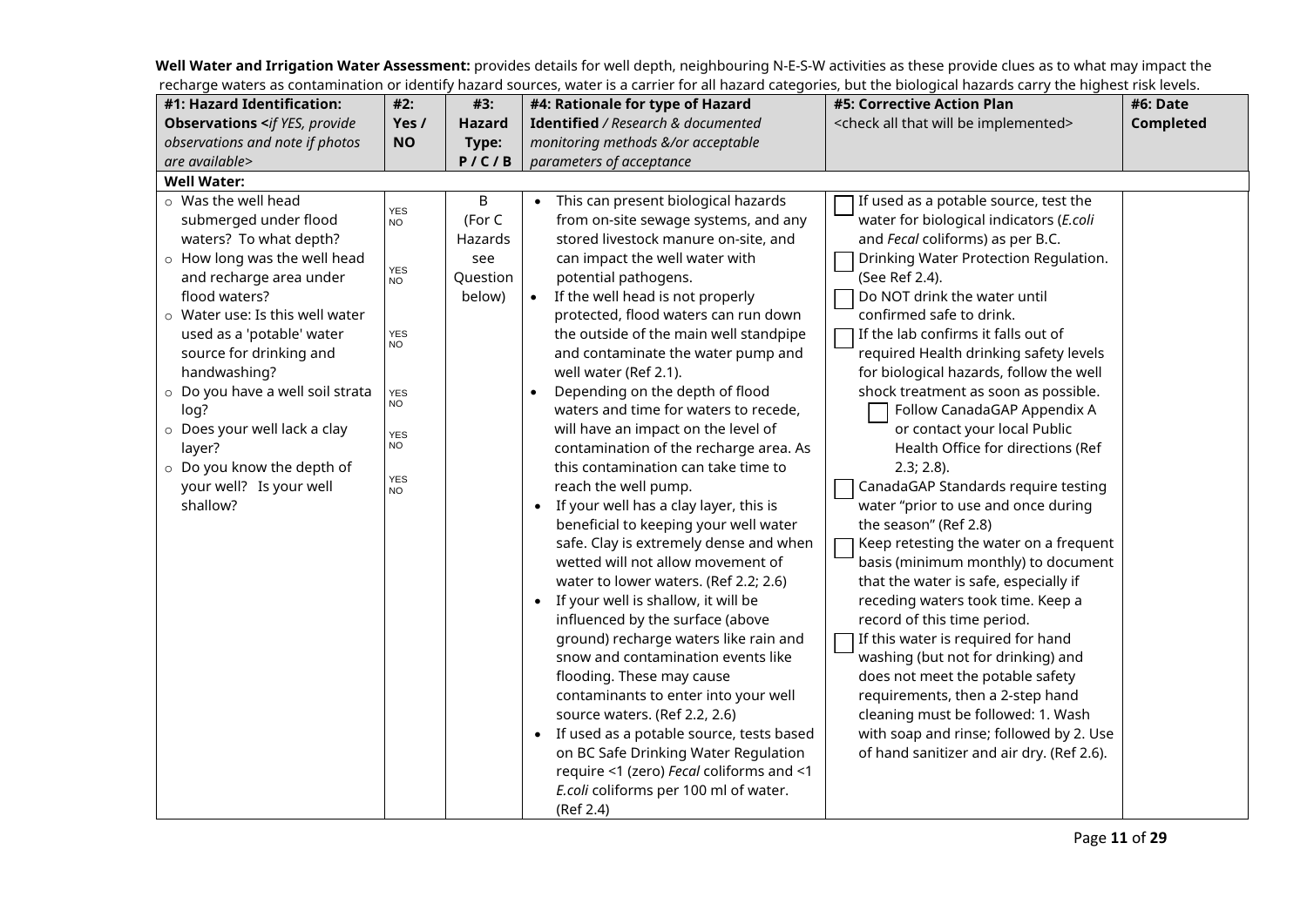**Well Water and Irrigation Water Assessment:** provides details for well depth, neighbouring N-E-S-W activities as these provide clues as to what may impact the recharge waters as contamination or identify hazard sources, water is a carrier for all hazard categories, but the biological hazards carry the highest risk levels.

| #1: Hazard Identification:                             | #2:                          | #3:       | #4: Rationale for type of Hazard                 | <b>#5: Corrective Action Plan</b>                           | #6: Date  |
|--------------------------------------------------------|------------------------------|-----------|--------------------------------------------------|-------------------------------------------------------------|-----------|
| <b>Observations <if b="" provide<="" yes,=""></if></b> | Yes /                        | Hazard    | Identified / Research & documented               | <check all="" be="" implemented="" that="" will=""></check> | Completed |
| observations and note if photos                        | <b>NO</b>                    | Type:     | monitoring methods &/or acceptable               |                                                             |           |
| are available>                                         |                              | P / C / B | parameters of acceptance                         |                                                             |           |
| <b>Well Water:</b>                                     |                              |           |                                                  |                                                             |           |
| $\circ$ Was the well head                              |                              | B         | This can present biological hazards              | If used as a potable source, test the                       |           |
| submerged under flood                                  | <b>YES</b><br>NO <sup></sup> | (For C    | from on-site sewage systems, and any             | water for biological indicators (E.coli                     |           |
| waters? To what depth?                                 |                              | Hazards   | stored livestock manure on-site, and             | and Fecal coliforms) as per B.C.                            |           |
| $\circ$ How long was the well head                     |                              | see       | can impact the well water with                   | Drinking Water Protection Regulation.                       |           |
| and recharge area under                                | YES<br>NO                    | Question  | potential pathogens.                             | (See Ref 2.4).                                              |           |
| flood waters?                                          |                              | below)    | If the well head is not properly<br>$\bullet$    | Do NOT drink the water until                                |           |
| $\circ$ Water use: Is this well water                  |                              |           | protected, flood waters can run down             | confirmed safe to drink.                                    |           |
| used as a 'potable' water                              | <b>YES</b>                   |           | the outside of the main well standpipe           | If the lab confirms it falls out of                         |           |
| source for drinking and                                | <b>NO</b>                    |           | and contaminate the water pump and               | required Health drinking safety levels                      |           |
| handwashing?                                           |                              |           | well water (Ref 2.1).                            | for biological hazards, follow the well                     |           |
| o Do you have a well soil strata                       | <b>YES</b>                   |           | Depending on the depth of flood                  | shock treatment as soon as possible.                        |           |
| log?                                                   | NO                           |           | waters and time for waters to recede,            | Follow CanadaGAP Appendix A                                 |           |
| o Does your well lack a clay                           | <b>YES</b>                   |           | will have an impact on the level of              | or contact your local Public                                |           |
| layer?                                                 | <b>NO</b>                    |           | contamination of the recharge area. As           | Health Office for directions (Ref                           |           |
| o Do you know the depth of                             |                              |           | this contamination can take time to              | $2.3; 2.8$ ).                                               |           |
| your well? Is your well                                | <b>YES</b><br>NO             |           | reach the well pump.                             | CanadaGAP Standards require testing                         |           |
| shallow?                                               |                              |           | • If your well has a clay layer, this is         | water "prior to use and once during                         |           |
|                                                        |                              |           | beneficial to keeping your well water            | the season" (Ref 2.8)                                       |           |
|                                                        |                              |           | safe. Clay is extremely dense and when           | Keep retesting the water on a frequent                      |           |
|                                                        |                              |           | wetted will not allow movement of                | basis (minimum monthly) to document                         |           |
|                                                        |                              |           | water to lower waters. (Ref 2.2; 2.6)            | that the water is safe, especially if                       |           |
|                                                        |                              |           | If your well is shallow, it will be<br>$\bullet$ | receding waters took time. Keep a                           |           |
|                                                        |                              |           | influenced by the surface (above                 | record of this time period.                                 |           |
|                                                        |                              |           | ground) recharge waters like rain and            | If this water is required for hand                          |           |
|                                                        |                              |           | snow and contamination events like               | washing (but not for drinking) and                          |           |
|                                                        |                              |           | flooding. These may cause                        | does not meet the potable safety                            |           |
|                                                        |                              |           | contaminants to enter into your well             | requirements, then a 2-step hand                            |           |
|                                                        |                              |           | source waters. (Ref 2.2, 2.6)                    | cleaning must be followed: 1. Wash                          |           |
|                                                        |                              |           | • If used as a potable source, tests based       | with soap and rinse; followed by 2. Use                     |           |
|                                                        |                              |           | on BC Safe Drinking Water Regulation             | of hand sanitizer and air dry. (Ref 2.6).                   |           |
|                                                        |                              |           | require <1 (zero) Fecal coliforms and <1         |                                                             |           |
|                                                        |                              |           | E.coli coliforms per 100 ml of water.            |                                                             |           |
|                                                        |                              |           | (Ref 2.4)                                        |                                                             |           |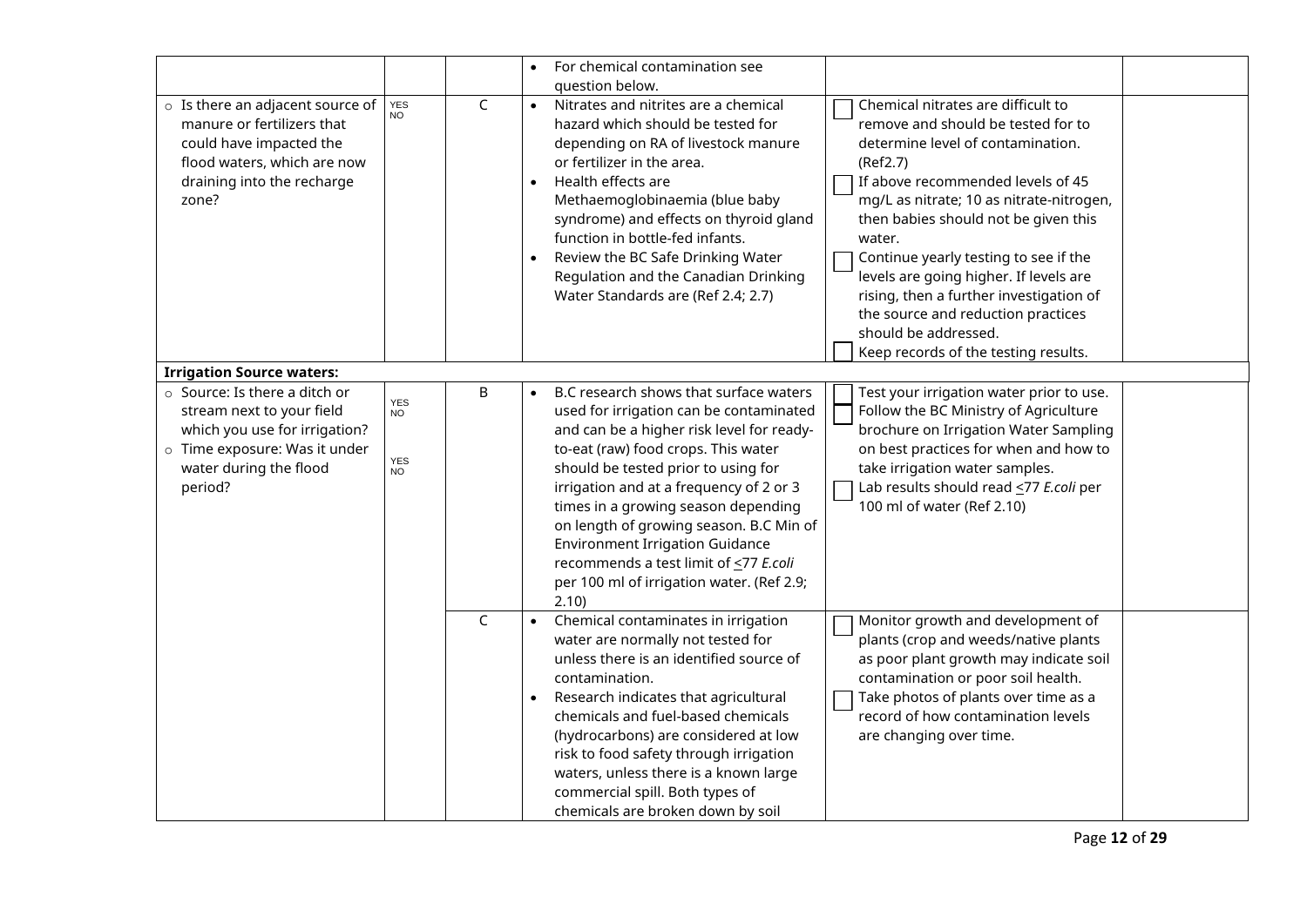|                                                                                                                                                                         |                                                    |             |                        | For chemical contamination see<br>question below.                                                                                                                                                                                                                                                                                                                                                                                                                                 |                                                                                                                                                                                                                                                                                                                                                                                                                                                                                                  |
|-------------------------------------------------------------------------------------------------------------------------------------------------------------------------|----------------------------------------------------|-------------|------------------------|-----------------------------------------------------------------------------------------------------------------------------------------------------------------------------------------------------------------------------------------------------------------------------------------------------------------------------------------------------------------------------------------------------------------------------------------------------------------------------------|--------------------------------------------------------------------------------------------------------------------------------------------------------------------------------------------------------------------------------------------------------------------------------------------------------------------------------------------------------------------------------------------------------------------------------------------------------------------------------------------------|
| o Is there an adjacent source of<br>manure or fertilizers that<br>could have impacted the<br>flood waters, which are now<br>draining into the recharge<br>zone?         | <b>YES</b><br><b>NO</b>                            | $\mathsf C$ | $\bullet$<br>$\bullet$ | Nitrates and nitrites are a chemical<br>hazard which should be tested for<br>depending on RA of livestock manure<br>or fertilizer in the area.<br>Health effects are<br>Methaemoglobinaemia (blue baby<br>syndrome) and effects on thyroid gland<br>function in bottle-fed infants.<br>Review the BC Safe Drinking Water<br>Regulation and the Canadian Drinking<br>Water Standards are (Ref 2.4; 2.7)                                                                            | Chemical nitrates are difficult to<br>remove and should be tested for to<br>determine level of contamination.<br>(Ref2.7)<br>If above recommended levels of 45<br>mg/L as nitrate; 10 as nitrate-nitrogen,<br>then babies should not be given this<br>water.<br>Continue yearly testing to see if the<br>levels are going higher. If levels are<br>rising, then a further investigation of<br>the source and reduction practices<br>should be addressed.<br>Keep records of the testing results. |
| <b>Irrigation Source waters:</b>                                                                                                                                        |                                                    |             |                        |                                                                                                                                                                                                                                                                                                                                                                                                                                                                                   |                                                                                                                                                                                                                                                                                                                                                                                                                                                                                                  |
| $\circ$ Source: Is there a ditch or<br>stream next to your field<br>which you use for irrigation?<br>o Time exposure: Was it under<br>water during the flood<br>period? | <b>YES</b><br><b>NO</b><br><b>YES</b><br><b>NO</b> | B           |                        | B.C research shows that surface waters<br>used for irrigation can be contaminated<br>and can be a higher risk level for ready-<br>to-eat (raw) food crops. This water<br>should be tested prior to using for<br>irrigation and at a frequency of 2 or 3<br>times in a growing season depending<br>on length of growing season. B.C Min of<br><b>Environment Irrigation Guidance</b><br>recommends a test limit of <77 E.coli<br>per 100 ml of irrigation water. (Ref 2.9;<br>2.10 | Test your irrigation water prior to use.<br>Follow the BC Ministry of Agriculture<br>brochure on Irrigation Water Sampling<br>on best practices for when and how to<br>take irrigation water samples.<br>Lab results should read <77 E.coli per<br>100 ml of water (Ref 2.10)                                                                                                                                                                                                                    |
|                                                                                                                                                                         |                                                    | $\mathsf C$ | $\bullet$              | Chemical contaminates in irrigation<br>water are normally not tested for<br>unless there is an identified source of<br>contamination.<br>Research indicates that agricultural<br>chemicals and fuel-based chemicals<br>(hydrocarbons) are considered at low<br>risk to food safety through irrigation<br>waters, unless there is a known large<br>commercial spill. Both types of<br>chemicals are broken down by soil                                                            | Monitor growth and development of<br>plants (crop and weeds/native plants<br>as poor plant growth may indicate soil<br>contamination or poor soil health.<br>Take photos of plants over time as a<br>record of how contamination levels<br>are changing over time.                                                                                                                                                                                                                               |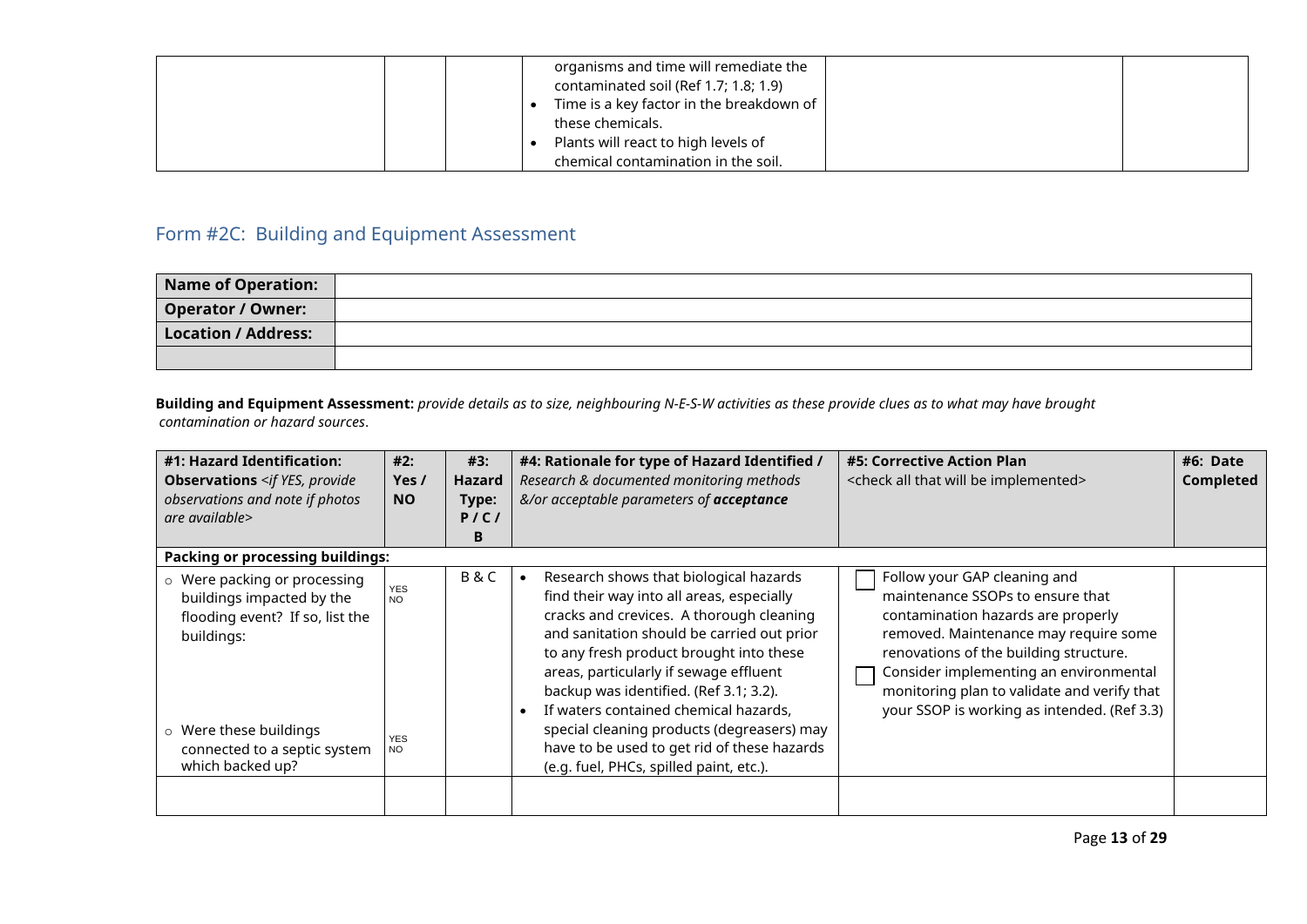|  | organisms and time will remediate the<br>contaminated soil (Ref 1.7; 1.8; 1.9)<br>Time is a key factor in the breakdown of |
|--|----------------------------------------------------------------------------------------------------------------------------|
|  | these chemicals.                                                                                                           |
|  | Plants will react to high levels of<br>chemical contamination in the soil.                                                 |

## <span id="page-13-0"></span>Form #2C: Building and Equipment Assessment

| Name of Operation:       |  |
|--------------------------|--|
| <b>Operator / Owner:</b> |  |
| Location / Address:      |  |
|                          |  |

**Building and Equipment Assessment:** *provide details as to size, neighbouring N-E-S-W activities as these provide clues as to what may have brought contamination or hazard sources*.

| #1: Hazard Identification:<br><b>Observations</b> <if provide<br="" yes,="">observations and note if photos<br/>are available&gt;</if>                                                   | #2:<br>Yes /<br><b>NO</b>                    | #3:<br>Hazard<br>Type:<br>P/C/<br>в | #4: Rationale for type of Hazard Identified /<br>Research & documented monitoring methods<br>&/or acceptable parameters of acceptance                                                                                                                                                                                                                                                                                                                                                         | #5: Corrective Action Plan<br><check all="" be="" implemented="" that="" will=""></check>                                                                                                                                                                                                                                         | #6: Date<br><b>Completed</b> |
|------------------------------------------------------------------------------------------------------------------------------------------------------------------------------------------|----------------------------------------------|-------------------------------------|-----------------------------------------------------------------------------------------------------------------------------------------------------------------------------------------------------------------------------------------------------------------------------------------------------------------------------------------------------------------------------------------------------------------------------------------------------------------------------------------------|-----------------------------------------------------------------------------------------------------------------------------------------------------------------------------------------------------------------------------------------------------------------------------------------------------------------------------------|------------------------------|
| <b>Packing or processing buildings:</b>                                                                                                                                                  |                                              |                                     |                                                                                                                                                                                                                                                                                                                                                                                                                                                                                               |                                                                                                                                                                                                                                                                                                                                   |                              |
| o Were packing or processing<br>buildings impacted by the<br>flooding event? If so, list the<br>buildings:<br>○ Were these buildings<br>connected to a septic system<br>which backed up? | <b>YES</b><br><b>NO</b><br><b>YES</b><br>NO. | <b>B&amp;C</b>                      | Research shows that biological hazards<br>find their way into all areas, especially<br>cracks and crevices. A thorough cleaning<br>and sanitation should be carried out prior<br>to any fresh product brought into these<br>areas, particularly if sewage effluent<br>backup was identified. (Ref 3.1; 3.2).<br>If waters contained chemical hazards,<br>special cleaning products (degreasers) may<br>have to be used to get rid of these hazards<br>(e.g. fuel, PHCs, spilled paint, etc.). | Follow your GAP cleaning and<br>maintenance SSOPs to ensure that<br>contamination hazards are properly<br>removed. Maintenance may require some<br>renovations of the building structure.<br>Consider implementing an environmental<br>monitoring plan to validate and verify that<br>your SSOP is working as intended. (Ref 3.3) |                              |
|                                                                                                                                                                                          |                                              |                                     |                                                                                                                                                                                                                                                                                                                                                                                                                                                                                               |                                                                                                                                                                                                                                                                                                                                   |                              |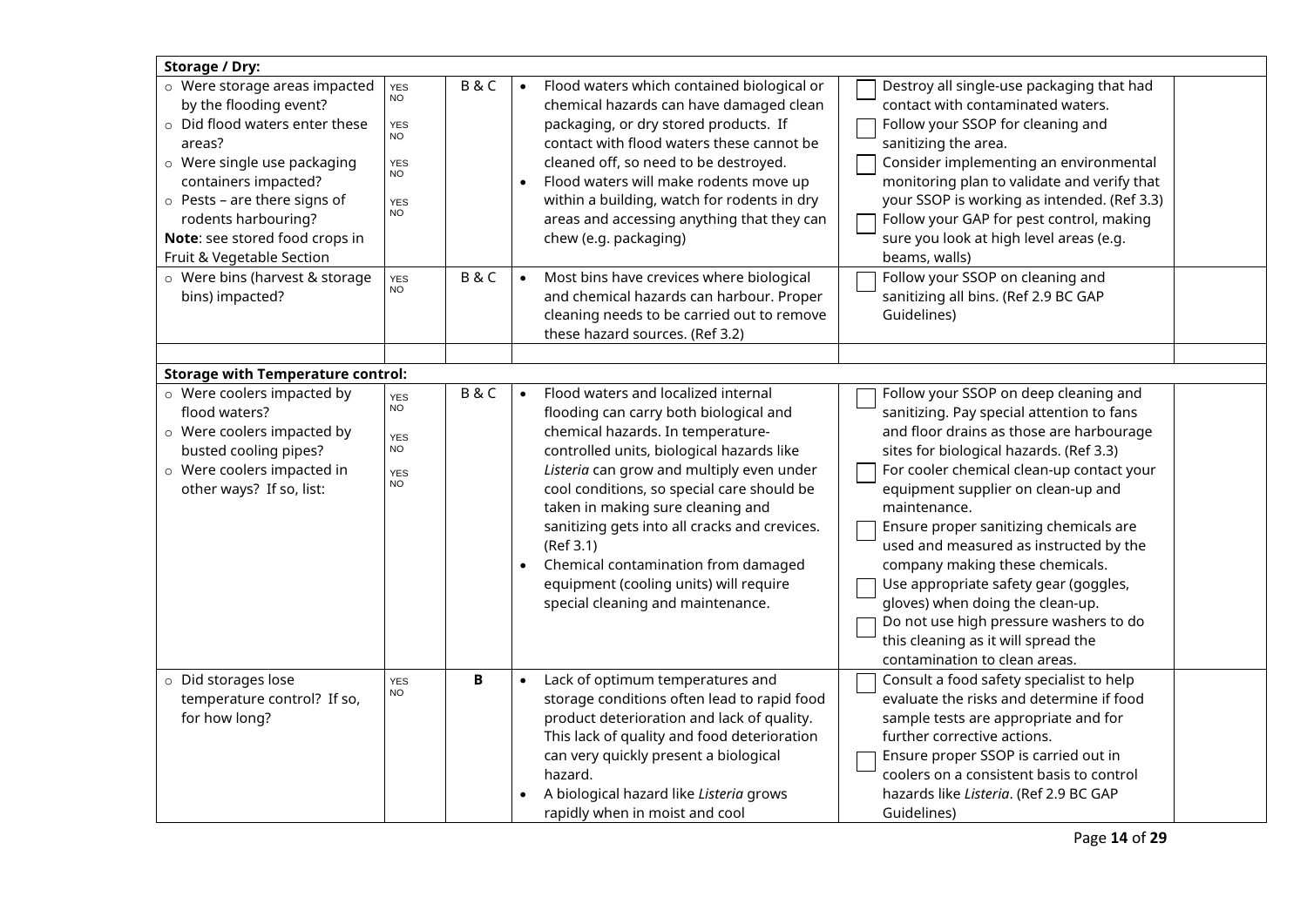| Storage / Dry:                                                                                                                                                                                                                                                                         |                                                                                                    |                        |                                                                                                                                                                                                                                                                                                                                                                                                                                                                                     |                                                                                                                                                                                                                                                                                                                                                                                                                                                                                                                                                                                                    |
|----------------------------------------------------------------------------------------------------------------------------------------------------------------------------------------------------------------------------------------------------------------------------------------|----------------------------------------------------------------------------------------------------|------------------------|-------------------------------------------------------------------------------------------------------------------------------------------------------------------------------------------------------------------------------------------------------------------------------------------------------------------------------------------------------------------------------------------------------------------------------------------------------------------------------------|----------------------------------------------------------------------------------------------------------------------------------------------------------------------------------------------------------------------------------------------------------------------------------------------------------------------------------------------------------------------------------------------------------------------------------------------------------------------------------------------------------------------------------------------------------------------------------------------------|
| o Were storage areas impacted<br>by the flooding event?<br>o Did flood waters enter these<br>areas?<br>o Were single use packaging<br>containers impacted?<br>$\circ$ Pests – are there signs of<br>rodents harbouring?<br>Note: see stored food crops in<br>Fruit & Vegetable Section | B&C<br><b>YES</b><br><b>NO</b><br><b>YES</b><br>NO<br><b>YES</b><br><b>NO</b><br><b>YES</b><br>NO. | $\bullet$              | Flood waters which contained biological or<br>chemical hazards can have damaged clean<br>packaging, or dry stored products. If<br>contact with flood waters these cannot be<br>cleaned off, so need to be destroyed.<br>Flood waters will make rodents move up<br>within a building, watch for rodents in dry<br>areas and accessing anything that they can<br>chew (e.g. packaging)                                                                                                | Destroy all single-use packaging that had<br>contact with contaminated waters.<br>Follow your SSOP for cleaning and<br>sanitizing the area.<br>Consider implementing an environmental<br>monitoring plan to validate and verify that<br>your SSOP is working as intended. (Ref 3.3)<br>Follow your GAP for pest control, making<br>sure you look at high level areas (e.g.<br>beams, walls)                                                                                                                                                                                                        |
| o Were bins (harvest & storage<br>bins) impacted?                                                                                                                                                                                                                                      | B&C<br><b>YES</b><br>NO.                                                                           | $\bullet$              | Most bins have crevices where biological<br>and chemical hazards can harbour. Proper<br>cleaning needs to be carried out to remove<br>these hazard sources. (Ref 3.2)                                                                                                                                                                                                                                                                                                               | Follow your SSOP on cleaning and<br>sanitizing all bins. (Ref 2.9 BC GAP<br>Guidelines)                                                                                                                                                                                                                                                                                                                                                                                                                                                                                                            |
| <b>Storage with Temperature control:</b>                                                                                                                                                                                                                                               |                                                                                                    |                        |                                                                                                                                                                                                                                                                                                                                                                                                                                                                                     |                                                                                                                                                                                                                                                                                                                                                                                                                                                                                                                                                                                                    |
| o Were coolers impacted by<br>flood waters?<br>o Were coolers impacted by<br>busted cooling pipes?<br>o Were coolers impacted in<br>other ways? If so, list:                                                                                                                           | B&C<br><b>YES</b><br>NO.<br><b>YES</b><br><b>NO</b><br><b>YES</b><br><b>NO</b>                     | $\bullet$<br>$\bullet$ | Flood waters and localized internal<br>flooding can carry both biological and<br>chemical hazards. In temperature-<br>controlled units, biological hazards like<br>Listeria can grow and multiply even under<br>cool conditions, so special care should be<br>taken in making sure cleaning and<br>sanitizing gets into all cracks and crevices.<br>(Ref 3.1)<br>Chemical contamination from damaged<br>equipment (cooling units) will require<br>special cleaning and maintenance. | Follow your SSOP on deep cleaning and<br>sanitizing. Pay special attention to fans<br>and floor drains as those are harbourage<br>sites for biological hazards. (Ref 3.3)<br>For cooler chemical clean-up contact your<br>equipment supplier on clean-up and<br>maintenance.<br>Ensure proper sanitizing chemicals are<br>used and measured as instructed by the<br>company making these chemicals.<br>Use appropriate safety gear (goggles,<br>gloves) when doing the clean-up.<br>Do not use high pressure washers to do<br>this cleaning as it will spread the<br>contamination to clean areas. |
| o Did storages lose<br>temperature control? If so,<br>for how long?                                                                                                                                                                                                                    | В<br><b>YES</b><br>NO                                                                              |                        | Lack of optimum temperatures and<br>storage conditions often lead to rapid food<br>product deterioration and lack of quality.<br>This lack of quality and food deterioration<br>can very quickly present a biological<br>hazard.<br>A biological hazard like Listeria grows<br>rapidly when in moist and cool                                                                                                                                                                       | Consult a food safety specialist to help<br>evaluate the risks and determine if food<br>sample tests are appropriate and for<br>further corrective actions.<br>Ensure proper SSOP is carried out in<br>coolers on a consistent basis to control<br>hazards like Listeria. (Ref 2.9 BC GAP<br>Guidelines)                                                                                                                                                                                                                                                                                           |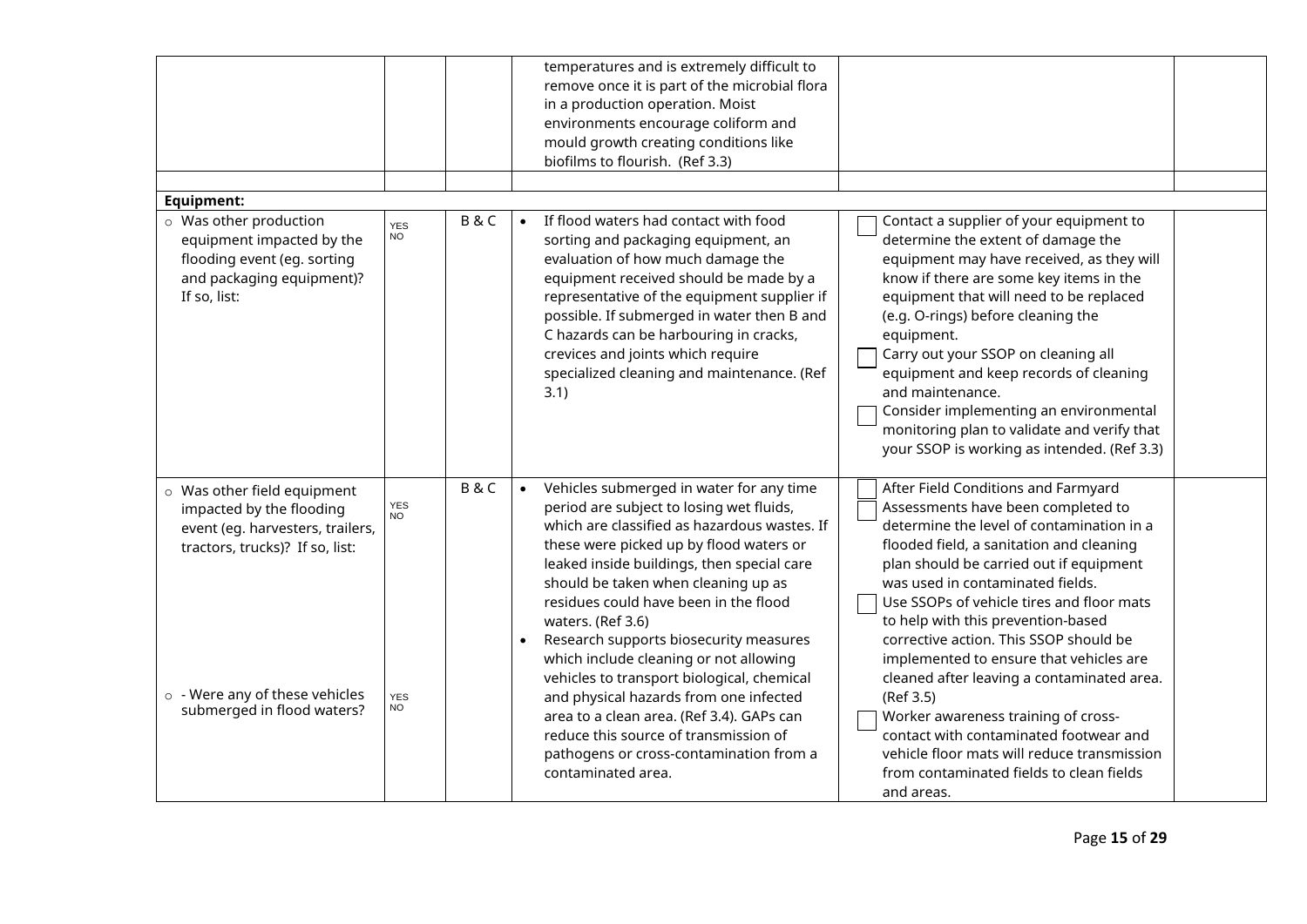|                                                                                                                                 |                         |                | temperatures and is extremely difficult to<br>remove once it is part of the microbial flora<br>in a production operation. Moist<br>environments encourage coliform and<br>mould growth creating conditions like<br>biofilms to flourish. (Ref 3.3)                                                                                                                                                                              |                                                                                                                                                                                                                                                                                                                                                                                                                                                                                 |
|---------------------------------------------------------------------------------------------------------------------------------|-------------------------|----------------|---------------------------------------------------------------------------------------------------------------------------------------------------------------------------------------------------------------------------------------------------------------------------------------------------------------------------------------------------------------------------------------------------------------------------------|---------------------------------------------------------------------------------------------------------------------------------------------------------------------------------------------------------------------------------------------------------------------------------------------------------------------------------------------------------------------------------------------------------------------------------------------------------------------------------|
| <b>Equipment:</b>                                                                                                               |                         |                |                                                                                                                                                                                                                                                                                                                                                                                                                                 |                                                                                                                                                                                                                                                                                                                                                                                                                                                                                 |
| o Was other production<br>equipment impacted by the<br>flooding event (eg. sorting<br>and packaging equipment)?<br>If so, list: | <b>YES</b><br><b>NO</b> | <b>B&amp;C</b> | If flood waters had contact with food<br>sorting and packaging equipment, an<br>evaluation of how much damage the<br>equipment received should be made by a<br>representative of the equipment supplier if<br>possible. If submerged in water then B and<br>C hazards can be harbouring in cracks,<br>equipment.<br>crevices and joints which require<br>specialized cleaning and maintenance. (Ref<br>3.1)<br>and maintenance. | Contact a supplier of your equipment to<br>determine the extent of damage the<br>equipment may have received, as they will<br>know if there are some key items in the<br>equipment that will need to be replaced<br>(e.g. O-rings) before cleaning the<br>Carry out your SSOP on cleaning all<br>equipment and keep records of cleaning<br>Consider implementing an environmental<br>monitoring plan to validate and verify that<br>your SSOP is working as intended. (Ref 3.3) |
| o Was other field equipment<br>impacted by the flooding<br>event (eg. harvesters, trailers,<br>tractors, trucks)? If so, list:  | YES<br><b>NO</b>        | B&C            | Vehicles submerged in water for any time<br>$\bullet$<br>period are subject to losing wet fluids,<br>which are classified as hazardous wastes. If<br>these were picked up by flood waters or<br>leaked inside buildings, then special care<br>should be taken when cleaning up as<br>residues could have been in the flood<br>waters. (Ref 3.6)<br>Research supports biosecurity measures<br>$\bullet$                          | After Field Conditions and Farmyard<br>Assessments have been completed to<br>determine the level of contamination in a<br>flooded field, a sanitation and cleaning<br>plan should be carried out if equipment<br>was used in contaminated fields.<br>Use SSOPs of vehicle tires and floor mats<br>to help with this prevention-based<br>corrective action. This SSOP should be                                                                                                  |
| $\circ$ - Were any of these vehicles<br>submerged in flood waters?                                                              | <b>YES</b><br><b>NO</b> |                | which include cleaning or not allowing<br>vehicles to transport biological, chemical<br>and physical hazards from one infected<br>(Ref 3.5)<br>area to a clean area. (Ref 3.4). GAPs can<br>reduce this source of transmission of<br>pathogens or cross-contamination from a<br>contaminated area.<br>and areas.                                                                                                                | implemented to ensure that vehicles are<br>cleaned after leaving a contaminated area.<br>Worker awareness training of cross-<br>contact with contaminated footwear and<br>vehicle floor mats will reduce transmission<br>from contaminated fields to clean fields                                                                                                                                                                                                               |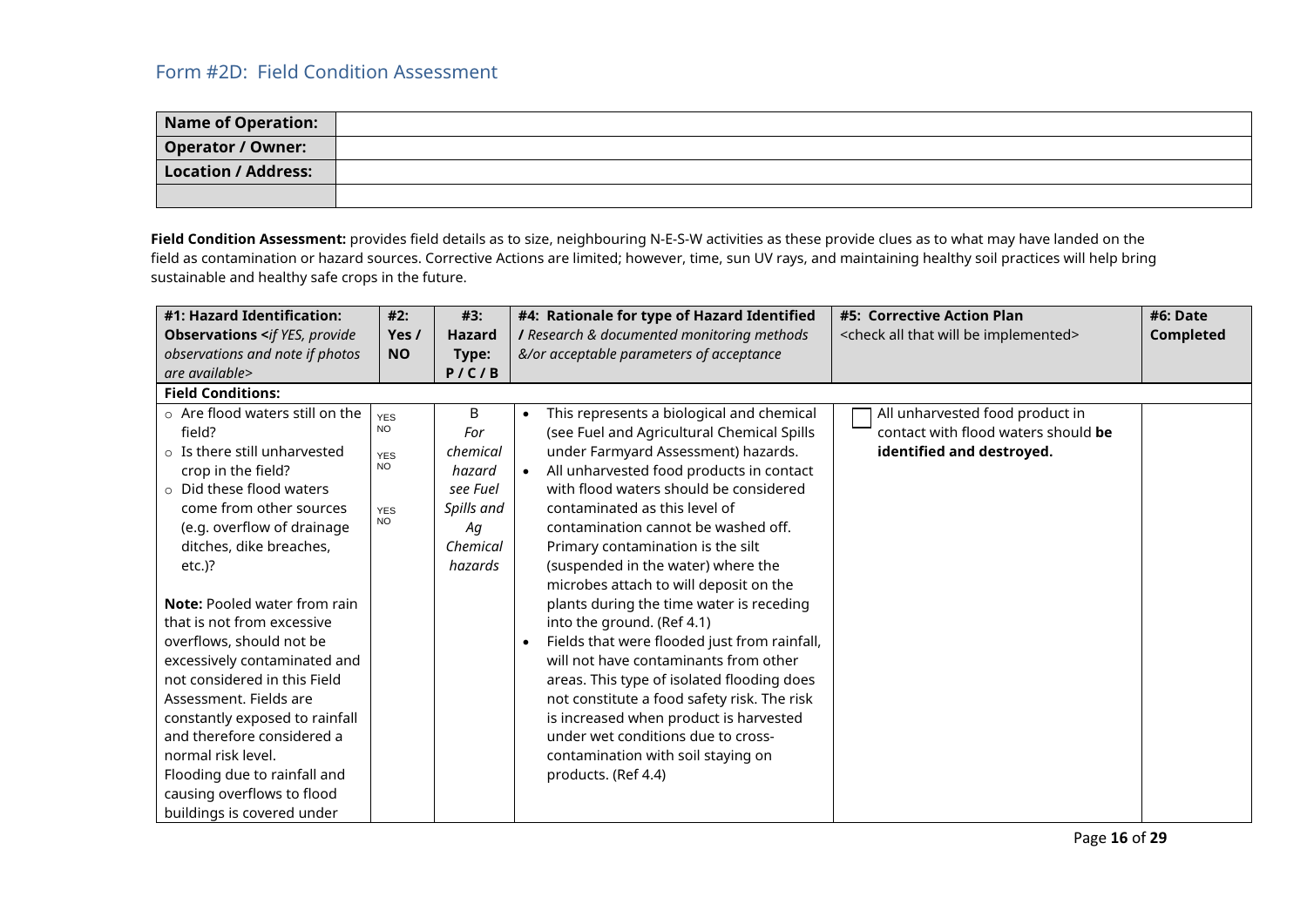<span id="page-16-0"></span>

| <b>Name of Operation:</b> |  |
|---------------------------|--|
| <b>Operator / Owner:</b>  |  |
| Location / Address:       |  |
|                           |  |

**Field Condition Assessment:** provides field details as to size, neighbouring N-E-S-W activities as these provide clues as to what may have landed on the field as contamination or hazard sources. Corrective Actions are limited; however, time, sun UV rays, and maintaining healthy soil practices will help bring sustainable and healthy safe crops in the future.

| #1: Hazard Identification:                             | #2:        | #3:           | #4: Rationale for type of Hazard Identified               | #5: Corrective Action Plan                                  | #6: Date  |
|--------------------------------------------------------|------------|---------------|-----------------------------------------------------------|-------------------------------------------------------------|-----------|
| <b>Observations <if b="" provide<="" yes,=""></if></b> | Yes /      | <b>Hazard</b> | I Research & documented monitoring methods                | <check all="" be="" implemented="" that="" will=""></check> | Completed |
| observations and note if photos                        | <b>NO</b>  | Type:         | &/or acceptable parameters of acceptance                  |                                                             |           |
| are available>                                         |            | P/C/B         |                                                           |                                                             |           |
| <b>Field Conditions:</b>                               |            |               |                                                           |                                                             |           |
| $\circ$ Are flood waters still on the                  | <b>YES</b> | B             | This represents a biological and chemical<br>$\bullet$    | All unharvested food product in                             |           |
| field?                                                 | <b>NO</b>  | For           | (see Fuel and Agricultural Chemical Spills                | contact with flood waters should be                         |           |
| $\circ$ Is there still unharvested                     | <b>YES</b> | chemical      | under Farmyard Assessment) hazards.                       | identified and destroyed.                                   |           |
| crop in the field?                                     | <b>NO</b>  | hazard        | All unharvested food products in contact<br>$\bullet$     |                                                             |           |
| $\circ$ Did these flood waters                         |            | see Fuel      | with flood waters should be considered                    |                                                             |           |
| come from other sources                                | <b>YES</b> | Spills and    | contaminated as this level of                             |                                                             |           |
| (e.g. overflow of drainage                             | <b>NO</b>  | Aq            | contamination cannot be washed off.                       |                                                             |           |
| ditches, dike breaches,                                |            | Chemical      | Primary contamination is the silt                         |                                                             |           |
| $etc.$ )?                                              |            | hazards       | (suspended in the water) where the                        |                                                             |           |
|                                                        |            |               | microbes attach to will deposit on the                    |                                                             |           |
| <b>Note:</b> Pooled water from rain                    |            |               | plants during the time water is receding                  |                                                             |           |
| that is not from excessive                             |            |               | into the ground. (Ref 4.1)                                |                                                             |           |
| overflows, should not be                               |            |               | Fields that were flooded just from rainfall,<br>$\bullet$ |                                                             |           |
| excessively contaminated and                           |            |               | will not have contaminants from other                     |                                                             |           |
| not considered in this Field                           |            |               | areas. This type of isolated flooding does                |                                                             |           |
| Assessment. Fields are                                 |            |               | not constitute a food safety risk. The risk               |                                                             |           |
| constantly exposed to rainfall                         |            |               | is increased when product is harvested                    |                                                             |           |
| and therefore considered a                             |            |               | under wet conditions due to cross-                        |                                                             |           |
| normal risk level.                                     |            |               | contamination with soil staying on                        |                                                             |           |
| Flooding due to rainfall and                           |            |               | products. (Ref 4.4)                                       |                                                             |           |
| causing overflows to flood                             |            |               |                                                           |                                                             |           |
| buildings is covered under                             |            |               |                                                           |                                                             |           |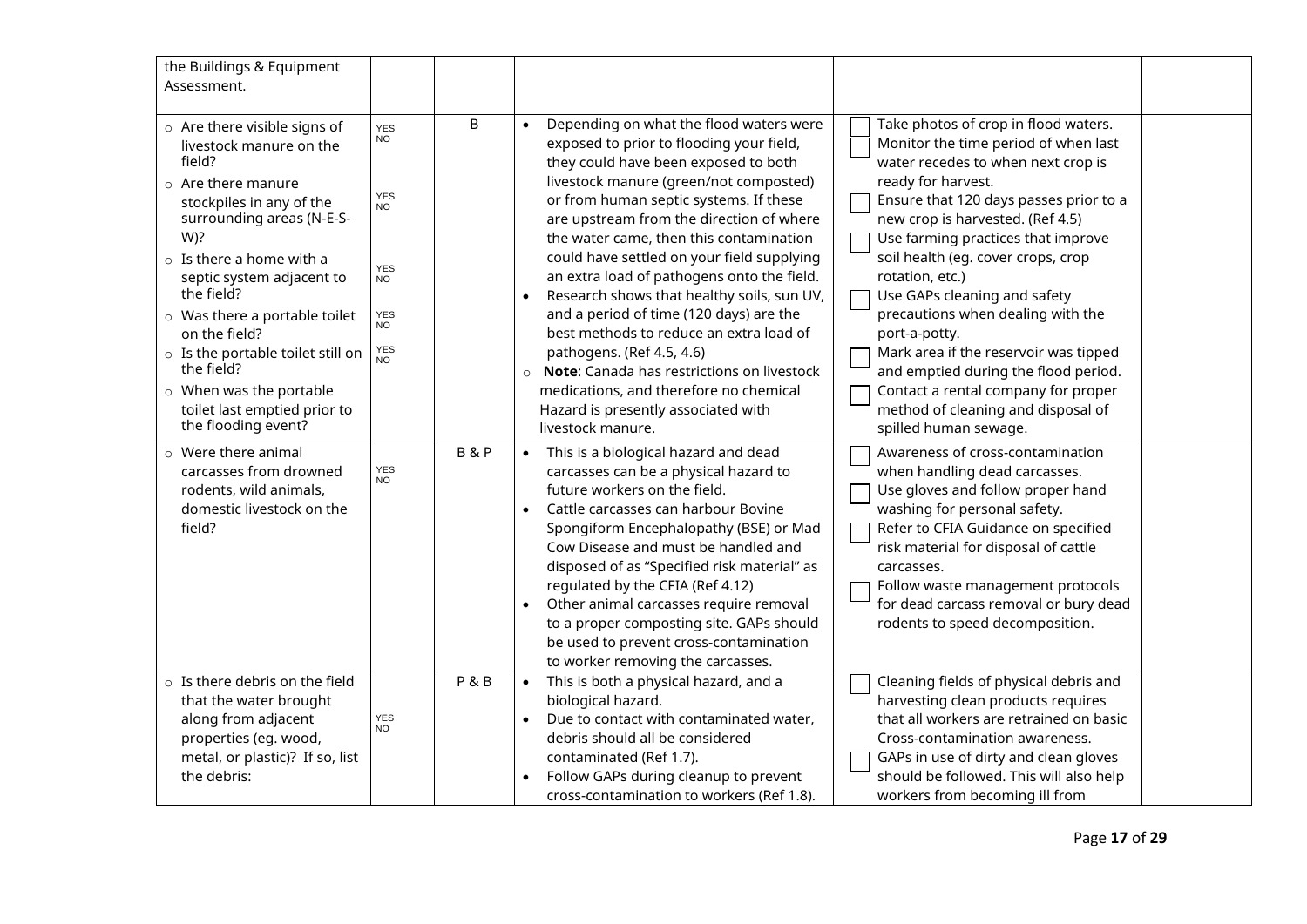| the Buildings & Equipment<br>Assessment.                                                                                                                                                                                                                                                                                                                                   |                                                                                                                              |   |                                                                                                                                                                                                                                                                                                                                                                                                                                                                                                                                                                                                                                                                        |                                                                                                                                                                                                                                                                                                                                                                                                                                                                                                                                     |
|----------------------------------------------------------------------------------------------------------------------------------------------------------------------------------------------------------------------------------------------------------------------------------------------------------------------------------------------------------------------------|------------------------------------------------------------------------------------------------------------------------------|---|------------------------------------------------------------------------------------------------------------------------------------------------------------------------------------------------------------------------------------------------------------------------------------------------------------------------------------------------------------------------------------------------------------------------------------------------------------------------------------------------------------------------------------------------------------------------------------------------------------------------------------------------------------------------|-------------------------------------------------------------------------------------------------------------------------------------------------------------------------------------------------------------------------------------------------------------------------------------------------------------------------------------------------------------------------------------------------------------------------------------------------------------------------------------------------------------------------------------|
| o Are there visible signs of<br>livestock manure on the<br>field?<br>$\circ$ Are there manure<br>stockpiles in any of the<br>surrounding areas (N-E-S-<br>W)?<br>$\circ$ Is there a home with a<br>septic system adjacent to<br>the field?<br>o Was there a portable toilet<br>on the field?<br>o Is the portable toilet still on<br>the field?<br>o When was the portable | <b>YES</b><br><b>NO</b><br><b>YES</b><br>NO <sup>1</sup><br><b>YES</b><br><b>NO</b><br><b>YES</b><br>NO<br><b>YES</b><br>NO. | B | Depending on what the flood waters were<br>exposed to prior to flooding your field,<br>they could have been exposed to both<br>livestock manure (green/not composted)<br>or from human septic systems. If these<br>are upstream from the direction of where<br>the water came, then this contamination<br>could have settled on your field supplying<br>an extra load of pathogens onto the field.<br>Research shows that healthy soils, sun UV,<br>and a period of time (120 days) are the<br>best methods to reduce an extra load of<br>pathogens. (Ref 4.5, 4.6)<br>Note: Canada has restrictions on livestock<br>$\circ$<br>medications, and therefore no chemical | Take photos of crop in flood waters.<br>Monitor the time period of when last<br>water recedes to when next crop is<br>ready for harvest.<br>Ensure that 120 days passes prior to a<br>new crop is harvested. (Ref 4.5)<br>Use farming practices that improve<br>soil health (eg. cover crops, crop<br>rotation, etc.)<br>Use GAPs cleaning and safety<br>precautions when dealing with the<br>port-a-potty.<br>Mark area if the reservoir was tipped<br>and emptied during the flood period.<br>Contact a rental company for proper |
| toilet last emptied prior to<br>the flooding event?                                                                                                                                                                                                                                                                                                                        |                                                                                                                              |   | Hazard is presently associated with<br>livestock manure.                                                                                                                                                                                                                                                                                                                                                                                                                                                                                                                                                                                                               | method of cleaning and disposal of<br>spilled human sewage.                                                                                                                                                                                                                                                                                                                                                                                                                                                                         |
| $\circ$ Were there animal<br>carcasses from drowned<br>rodents, wild animals,<br>domestic livestock on the<br>field?                                                                                                                                                                                                                                                       | <b>B&amp;P</b><br>YES<br>NO                                                                                                  |   | This is a biological hazard and dead<br>$\bullet$<br>carcasses can be a physical hazard to<br>future workers on the field.<br>Cattle carcasses can harbour Bovine<br>Spongiform Encephalopathy (BSE) or Mad<br>Cow Disease and must be handled and<br>disposed of as "Specified risk material" as<br>regulated by the CFIA (Ref 4.12)<br>Other animal carcasses require removal<br>$\bullet$<br>to a proper composting site. GAPs should<br>be used to prevent cross-contamination<br>to worker removing the carcasses.                                                                                                                                                | Awareness of cross-contamination<br>when handling dead carcasses.<br>Use gloves and follow proper hand<br>washing for personal safety.<br>Refer to CFIA Guidance on specified<br>risk material for disposal of cattle<br>carcasses.<br>Follow waste management protocols<br>for dead carcass removal or bury dead<br>rodents to speed decomposition.                                                                                                                                                                                |
| $\circ$ Is there debris on the field<br>that the water brought<br>along from adjacent<br>properties (eg. wood,<br>metal, or plastic)? If so, list<br>the debris:                                                                                                                                                                                                           | <b>P&amp;B</b><br><b>YES</b><br><b>NO</b>                                                                                    |   | This is both a physical hazard, and a<br>biological hazard.<br>Due to contact with contaminated water,<br>debris should all be considered<br>contaminated (Ref 1.7).<br>Follow GAPs during cleanup to prevent<br>cross-contamination to workers (Ref 1.8).                                                                                                                                                                                                                                                                                                                                                                                                             | Cleaning fields of physical debris and<br>harvesting clean products requires<br>that all workers are retrained on basic<br>Cross-contamination awareness.<br>GAPs in use of dirty and clean gloves<br>should be followed. This will also help<br>workers from becoming ill from                                                                                                                                                                                                                                                     |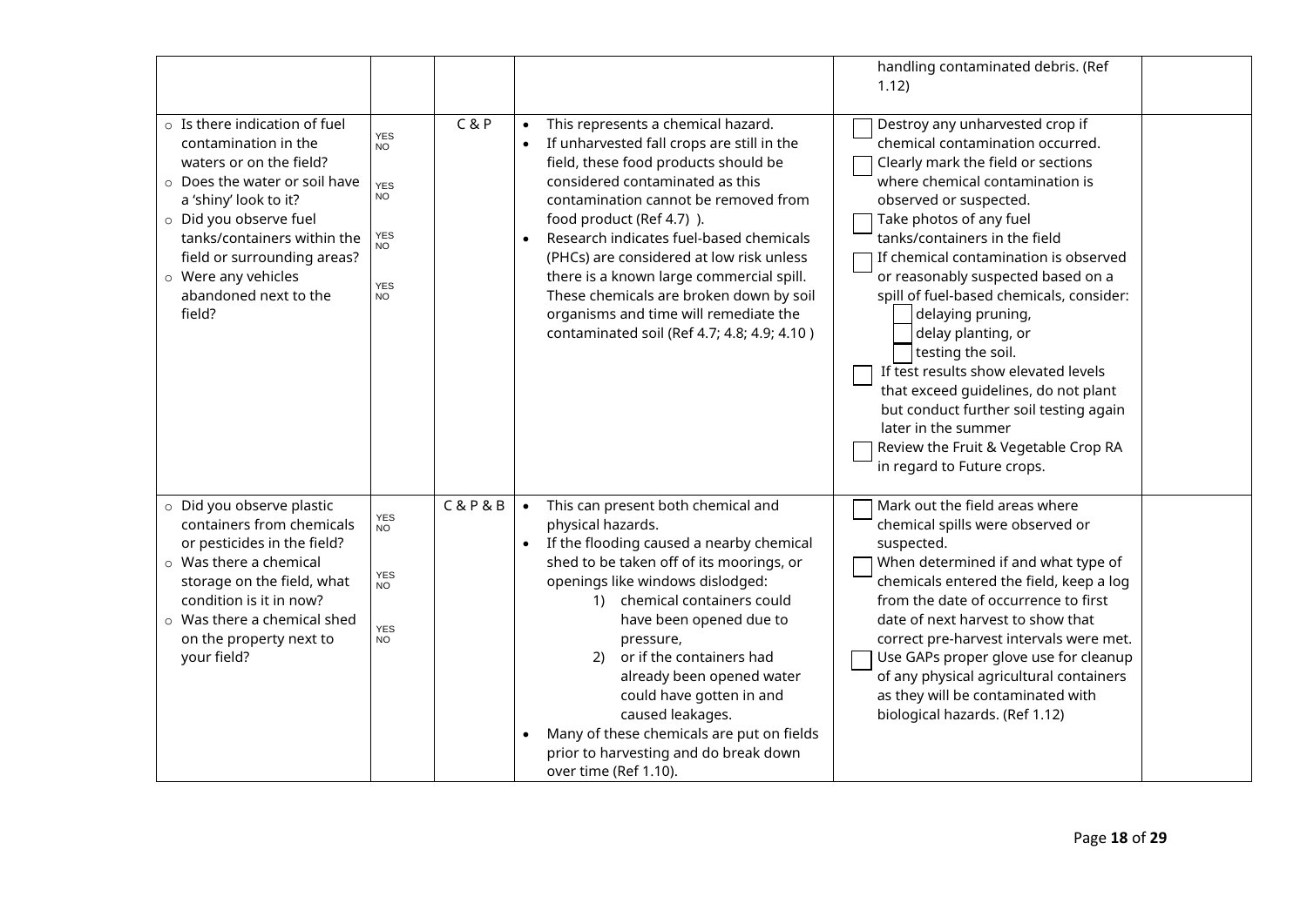|                                                                                                                |                                   |                                                                                                                                                                             | handling contaminated debris. (Ref<br>1.12)                                                                                                                                                                                                                                                                                                                           |
|----------------------------------------------------------------------------------------------------------------|-----------------------------------|-----------------------------------------------------------------------------------------------------------------------------------------------------------------------------|-----------------------------------------------------------------------------------------------------------------------------------------------------------------------------------------------------------------------------------------------------------------------------------------------------------------------------------------------------------------------|
| $\circ$ Is there indication of fuel<br>contamination in the<br>waters or on the field?                         | C & P<br><b>YES</b><br><b>NO</b>  | This represents a chemical hazard.<br>$\bullet$<br>If unharvested fall crops are still in the<br>field, these food products should be                                       | Destroy any unharvested crop if<br>chemical contamination occurred.<br>Clearly mark the field or sections                                                                                                                                                                                                                                                             |
| o Does the water or soil have<br>a 'shiny' look to it?                                                         | <b>YES</b><br><b>NO</b>           | considered contaminated as this<br>contamination cannot be removed from                                                                                                     | where chemical contamination is<br>observed or suspected.                                                                                                                                                                                                                                                                                                             |
| o Did you observe fuel<br>tanks/containers within the<br>field or surrounding areas?                           | <b>YES</b><br>NO.                 | food product (Ref 4.7)).<br>Research indicates fuel-based chemicals<br>(PHCs) are considered at low risk unless                                                             | Take photos of any fuel<br>tanks/containers in the field<br>If chemical contamination is observed                                                                                                                                                                                                                                                                     |
| o Were any vehicles<br>abandoned next to the<br>field?                                                         | <b>YES</b><br><b>NO</b>           | there is a known large commercial spill.<br>These chemicals are broken down by soil<br>organisms and time will remediate the<br>contaminated soil (Ref 4.7; 4.8; 4.9; 4.10) | or reasonably suspected based on a<br>spill of fuel-based chemicals, consider:<br>delaying pruning,<br>delay planting, or<br>testing the soil.<br>If test results show elevated levels<br>that exceed guidelines, do not plant<br>but conduct further soil testing again<br>later in the summer<br>Review the Fruit & Vegetable Crop RA<br>in regard to Future crops. |
| o Did you observe plastic<br>containers from chemicals                                                         | <b>C&amp;P&amp;B</b><br>YES<br>NO | This can present both chemical and<br>physical hazards.                                                                                                                     | Mark out the field areas where<br>chemical spills were observed or                                                                                                                                                                                                                                                                                                    |
| or pesticides in the field?<br>o Was there a chemical<br>storage on the field, what<br>condition is it in now? | YES<br>NO.                        | If the flooding caused a nearby chemical<br>$\bullet$<br>shed to be taken off of its moorings, or<br>openings like windows dislodged:<br>1) chemical containers could       | suspected.<br>When determined if and what type of<br>chemicals entered the field, keep a log<br>from the date of occurrence to first                                                                                                                                                                                                                                  |
| $\circ$ Was there a chemical shed<br>on the property next to<br>your field?                                    | <b>YES</b><br>NO.                 | have been opened due to<br>pressure,<br>or if the containers had<br>2)<br>already been opened water<br>could have gotten in and                                             | date of next harvest to show that<br>correct pre-harvest intervals were met.<br>Use GAPs proper glove use for cleanup<br>of any physical agricultural containers<br>as they will be contaminated with                                                                                                                                                                 |
|                                                                                                                |                                   | caused leakages.<br>Many of these chemicals are put on fields<br>$\bullet$<br>prior to harvesting and do break down<br>over time (Ref 1.10).                                | biological hazards. (Ref 1.12)                                                                                                                                                                                                                                                                                                                                        |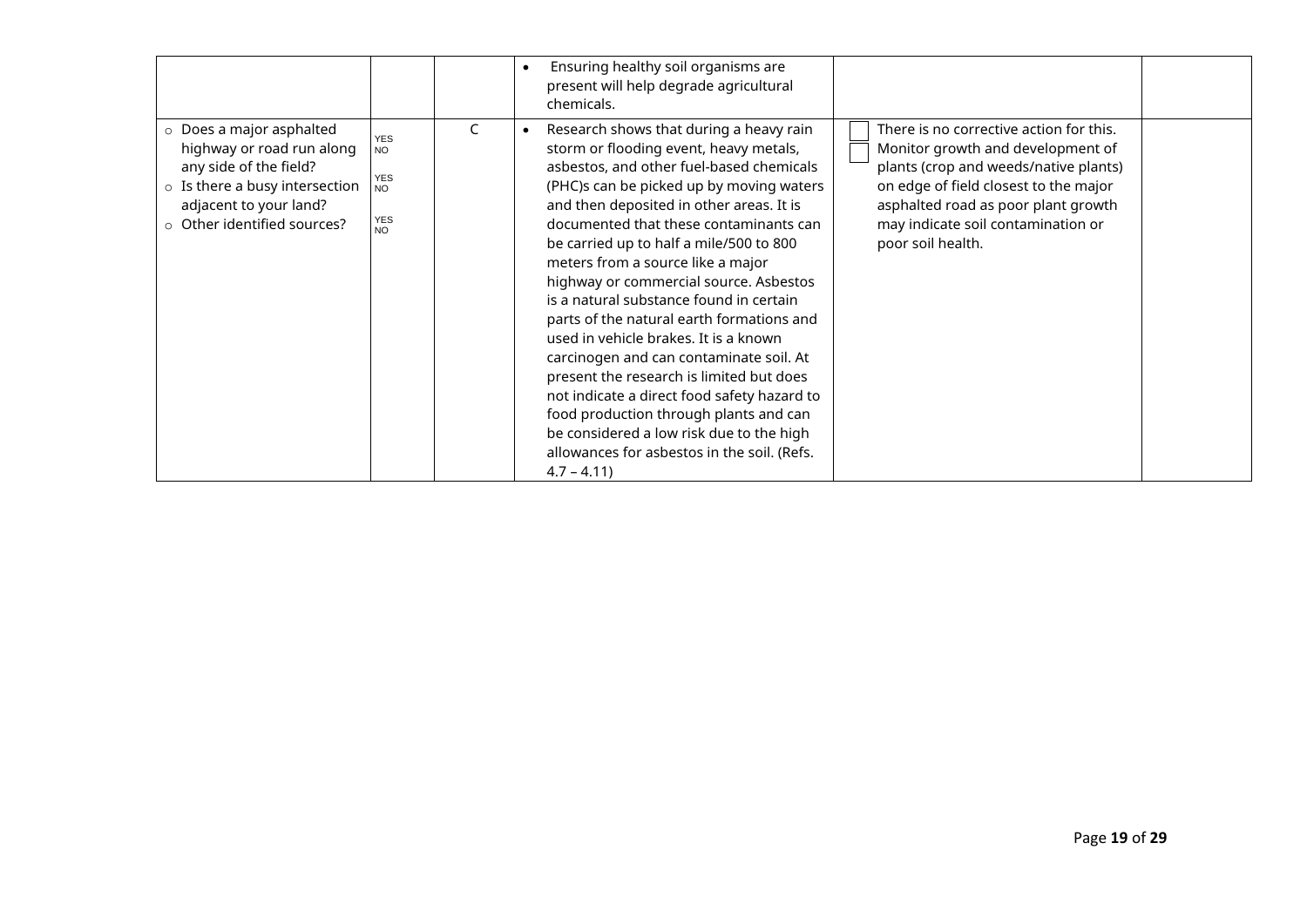|                                                                                                                                                                                        |                                                                               | Ensuring healthy soil organisms are<br>present will help degrade agricultural<br>chemicals.                                                                                                                                                                                                                                                                                                                                                                                                                                                                                                                                                                                                                                                                                                                           |                                                                                                                                                                                                                                                                  |  |
|----------------------------------------------------------------------------------------------------------------------------------------------------------------------------------------|-------------------------------------------------------------------------------|-----------------------------------------------------------------------------------------------------------------------------------------------------------------------------------------------------------------------------------------------------------------------------------------------------------------------------------------------------------------------------------------------------------------------------------------------------------------------------------------------------------------------------------------------------------------------------------------------------------------------------------------------------------------------------------------------------------------------------------------------------------------------------------------------------------------------|------------------------------------------------------------------------------------------------------------------------------------------------------------------------------------------------------------------------------------------------------------------|--|
| $\circ$ Does a major asphalted<br>highway or road run along<br>any side of the field?<br>$\circ$ Is there a busy intersection<br>adjacent to your land?<br>o Other identified sources? | <b>YES</b><br><b>NO</b><br><b>YES</b><br><b>NO</b><br><b>YES</b><br><b>NO</b> | Research shows that during a heavy rain<br>storm or flooding event, heavy metals,<br>asbestos, and other fuel-based chemicals<br>(PHC)s can be picked up by moving waters<br>and then deposited in other areas. It is<br>documented that these contaminants can<br>be carried up to half a mile/500 to 800<br>meters from a source like a major<br>highway or commercial source. Asbestos<br>is a natural substance found in certain<br>parts of the natural earth formations and<br>used in vehicle brakes. It is a known<br>carcinogen and can contaminate soil. At<br>present the research is limited but does<br>not indicate a direct food safety hazard to<br>food production through plants and can<br>be considered a low risk due to the high<br>allowances for asbestos in the soil. (Refs.<br>$4.7 - 4.11$ | There is no corrective action for this.<br>Monitor growth and development of<br>plants (crop and weeds/native plants)<br>on edge of field closest to the major<br>asphalted road as poor plant growth<br>may indicate soil contamination or<br>poor soil health. |  |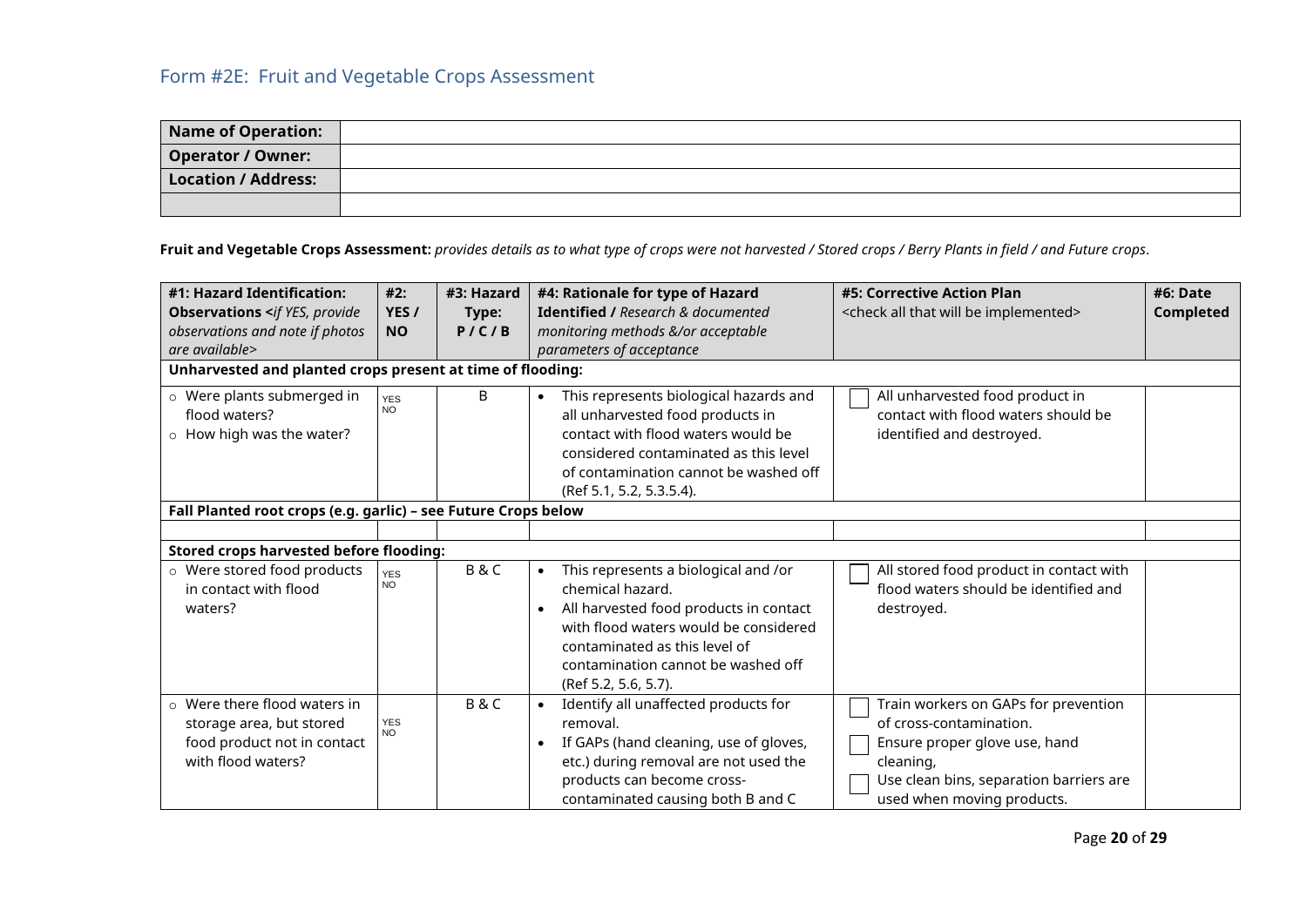## <span id="page-20-0"></span>Form #2E: Fruit and Vegetable Crops Assessment

| Name of Operation:       |  |
|--------------------------|--|
| <b>Operator / Owner:</b> |  |
| Location / Address:      |  |
|                          |  |

**Fruit and Vegetable Crops Assessment:** *provides details as to what type of crops were not harvested / Stored crops / Berry Plants in field / and Future crops*.

| #1: Hazard Identification:<br>#3: Hazard<br>#4: Rationale for type of Hazard<br>#2:<br><b>Identified / Research &amp; documented</b><br><b>Observations <if b="" provide<="" yes,=""><br/>YES /<br/>Type:<br/>observations and note if photos<br/>P / C / B<br/>monitoring methods &amp;/or acceptable<br/><b>NO</b><br/>are available&gt;<br/>parameters of acceptance<br/>Unharvested and planted crops present at time of flooding:</if></b> |                                                                | #5: Corrective Action Plan<br><check all="" be="" implemented="" that="" will=""></check> | #6: Date<br>Completed                                                                                                                                                                                                                                                |                                                                                                                                                                                        |  |  |  |
|-------------------------------------------------------------------------------------------------------------------------------------------------------------------------------------------------------------------------------------------------------------------------------------------------------------------------------------------------------------------------------------------------------------------------------------------------|----------------------------------------------------------------|-------------------------------------------------------------------------------------------|----------------------------------------------------------------------------------------------------------------------------------------------------------------------------------------------------------------------------------------------------------------------|----------------------------------------------------------------------------------------------------------------------------------------------------------------------------------------|--|--|--|
| o Were plants submerged in<br>flood waters?<br>$\circ$ How high was the water?                                                                                                                                                                                                                                                                                                                                                                  | <b>YES</b><br><b>NO</b>                                        | B                                                                                         | This represents biological hazards and<br>$\bullet$<br>all unharvested food products in<br>contact with flood waters would be<br>considered contaminated as this level<br>of contamination cannot be washed off<br>(Ref 5.1, 5.2, 5.3.5.4).                          | All unharvested food product in<br>contact with flood waters should be<br>identified and destroyed.                                                                                    |  |  |  |
|                                                                                                                                                                                                                                                                                                                                                                                                                                                 | Fall Planted root crops (e.g. garlic) - see Future Crops below |                                                                                           |                                                                                                                                                                                                                                                                      |                                                                                                                                                                                        |  |  |  |
| <b>Stored crops harvested before flooding:</b>                                                                                                                                                                                                                                                                                                                                                                                                  |                                                                |                                                                                           |                                                                                                                                                                                                                                                                      |                                                                                                                                                                                        |  |  |  |
| o Were stored food products<br>in contact with flood<br>waters?                                                                                                                                                                                                                                                                                                                                                                                 | <b>YES</b><br><b>NO</b>                                        | B&C                                                                                       | This represents a biological and /or<br>$\bullet$<br>chemical hazard.<br>All harvested food products in contact<br>$\bullet$<br>with flood waters would be considered<br>contaminated as this level of<br>contamination cannot be washed off<br>(Ref 5.2, 5.6, 5.7). | All stored food product in contact with<br>flood waters should be identified and<br>destroyed.                                                                                         |  |  |  |
| o Were there flood waters in<br>storage area, but stored<br>food product not in contact<br>with flood waters?                                                                                                                                                                                                                                                                                                                                   | <b>YES</b><br><b>NO</b>                                        | <b>B&amp;C</b>                                                                            | Identify all unaffected products for<br>removal.<br>If GAPs (hand cleaning, use of gloves,<br>$\bullet$<br>etc.) during removal are not used the<br>products can become cross-<br>contaminated causing both B and C                                                  | Train workers on GAPs for prevention<br>of cross-contamination.<br>Ensure proper glove use, hand<br>cleaning,<br>Use clean bins, separation barriers are<br>used when moving products. |  |  |  |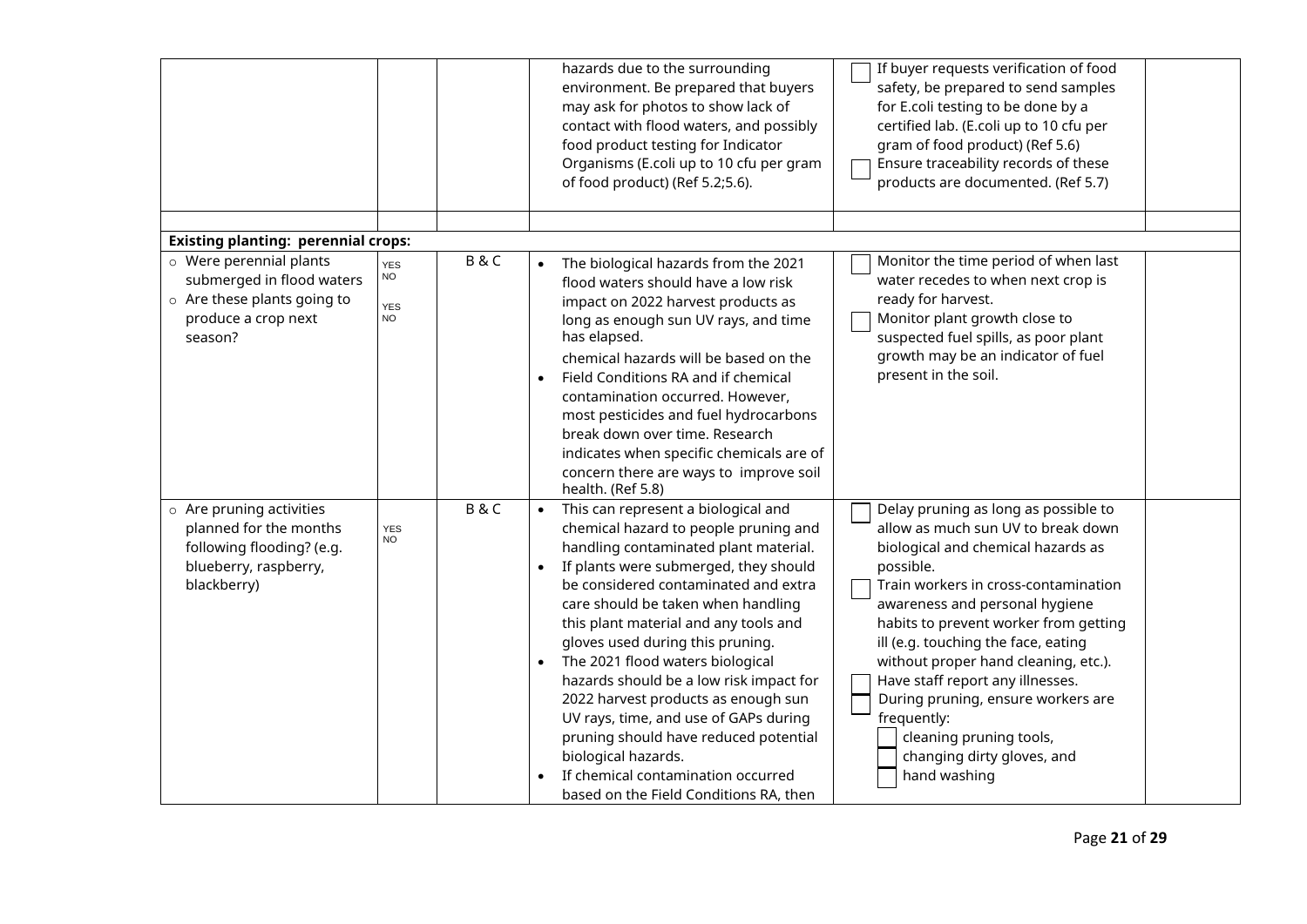|                                                                                                                                                                     |                                                    |     | hazards due to the surrounding<br>environment. Be prepared that buyers<br>may ask for photos to show lack of<br>contact with flood waters, and possibly<br>food product testing for Indicator<br>Organisms (E.coli up to 10 cfu per gram<br>of food product) (Ref 5.2;5.6).                                                                                                                                                                                                                                                                                                                                                                           | If buyer requests verification of food<br>safety, be prepared to send samples<br>for E.coli testing to be done by a<br>certified lab. (E.coli up to 10 cfu per<br>gram of food product) (Ref 5.6)<br>Ensure traceability records of these<br>products are documented. (Ref 5.7)                                                                                                                                                                                                                   |
|---------------------------------------------------------------------------------------------------------------------------------------------------------------------|----------------------------------------------------|-----|-------------------------------------------------------------------------------------------------------------------------------------------------------------------------------------------------------------------------------------------------------------------------------------------------------------------------------------------------------------------------------------------------------------------------------------------------------------------------------------------------------------------------------------------------------------------------------------------------------------------------------------------------------|---------------------------------------------------------------------------------------------------------------------------------------------------------------------------------------------------------------------------------------------------------------------------------------------------------------------------------------------------------------------------------------------------------------------------------------------------------------------------------------------------|
|                                                                                                                                                                     |                                                    |     |                                                                                                                                                                                                                                                                                                                                                                                                                                                                                                                                                                                                                                                       |                                                                                                                                                                                                                                                                                                                                                                                                                                                                                                   |
| <b>Existing planting: perennial crops:</b><br>o Were perennial plants<br>submerged in flood waters<br>o Are these plants going to<br>produce a crop next<br>season? | <b>YES</b><br><b>NO</b><br><b>YES</b><br><b>NO</b> | B&C | The biological hazards from the 2021<br>$\bullet$<br>flood waters should have a low risk<br>impact on 2022 harvest products as<br>long as enough sun UV rays, and time<br>has elapsed.<br>chemical hazards will be based on the<br>Field Conditions RA and if chemical<br>contamination occurred. However,<br>most pesticides and fuel hydrocarbons<br>break down over time. Research<br>indicates when specific chemicals are of<br>concern there are ways to improve soil<br>health. (Ref 5.8)                                                                                                                                                      | Monitor the time period of when last<br>water recedes to when next crop is<br>ready for harvest.<br>Monitor plant growth close to<br>suspected fuel spills, as poor plant<br>growth may be an indicator of fuel<br>present in the soil.                                                                                                                                                                                                                                                           |
| o Are pruning activities<br>planned for the months<br>following flooding? (e.g.<br>blueberry, raspberry,<br>blackberry)                                             | <b>YES</b><br><b>NO</b>                            | B&C | This can represent a biological and<br>$\bullet$<br>chemical hazard to people pruning and<br>handling contaminated plant material.<br>If plants were submerged, they should<br>be considered contaminated and extra<br>care should be taken when handling<br>this plant material and any tools and<br>gloves used during this pruning.<br>The 2021 flood waters biological<br>hazards should be a low risk impact for<br>2022 harvest products as enough sun<br>UV rays, time, and use of GAPs during<br>pruning should have reduced potential<br>biological hazards.<br>If chemical contamination occurred<br>based on the Field Conditions RA, then | Delay pruning as long as possible to<br>allow as much sun UV to break down<br>biological and chemical hazards as<br>possible.<br>Train workers in cross-contamination<br>awareness and personal hygiene<br>habits to prevent worker from getting<br>ill (e.g. touching the face, eating<br>without proper hand cleaning, etc.).<br>Have staff report any illnesses.<br>During pruning, ensure workers are<br>frequently:<br>cleaning pruning tools,<br>changing dirty gloves, and<br>hand washing |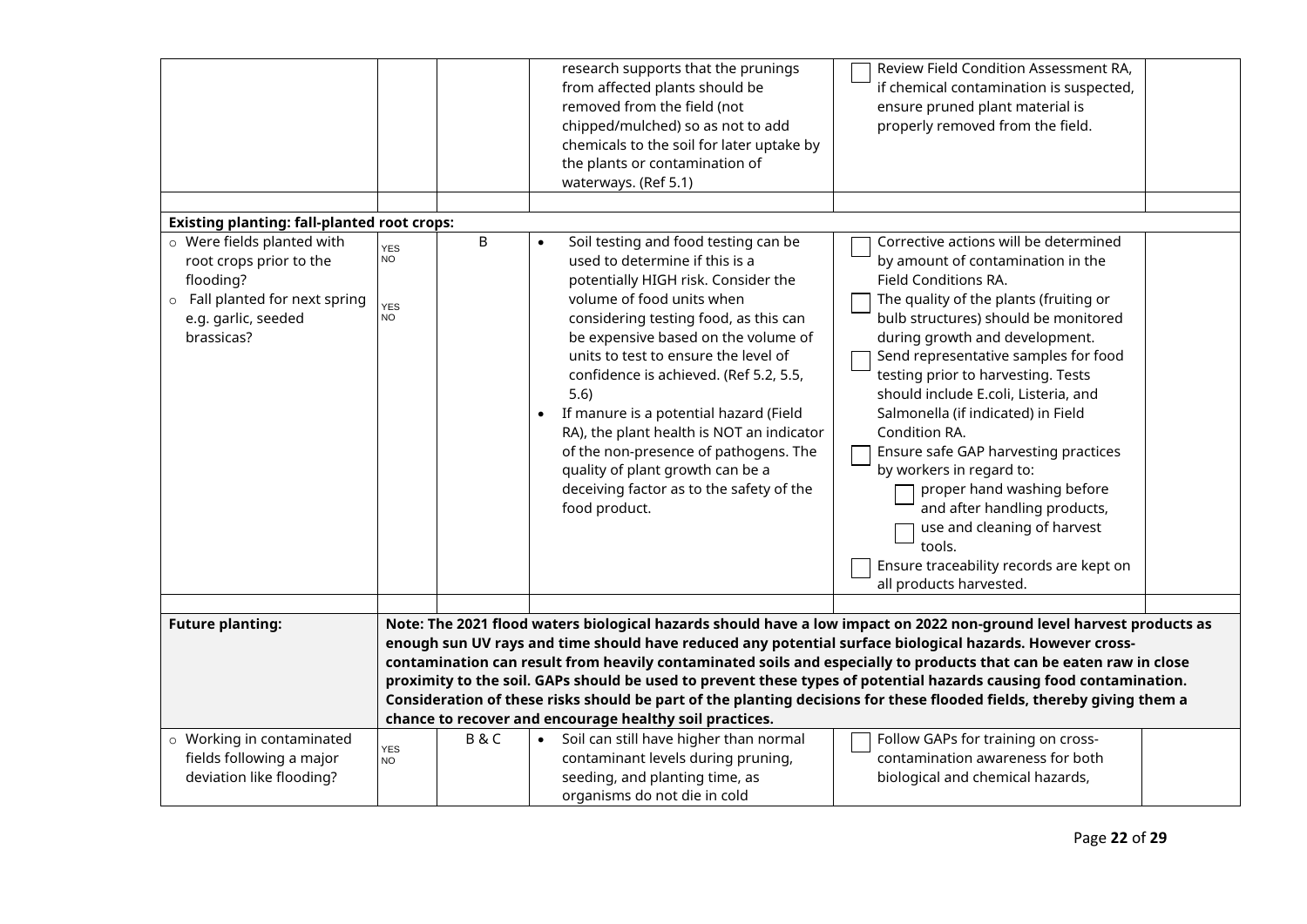|                                                                                                                                           |                                                                                                                                                                                                                                                                                                                                                                                                                                                                                                                                          |     | research supports that the prunings<br>from affected plants should be<br>removed from the field (not<br>chipped/mulched) so as not to add<br>chemicals to the soil for later uptake by<br>the plants or contamination of<br>waterways. (Ref 5.1)                                                                                                                                                                                                                                                                                                      | Review Field Condition Assessment RA,<br>if chemical contamination is suspected,<br>ensure pruned plant material is<br>properly removed from the field.                                                                                                                                                                                                                                                                                                                                                                                                                                                                                              |  |  |
|-------------------------------------------------------------------------------------------------------------------------------------------|------------------------------------------------------------------------------------------------------------------------------------------------------------------------------------------------------------------------------------------------------------------------------------------------------------------------------------------------------------------------------------------------------------------------------------------------------------------------------------------------------------------------------------------|-----|-------------------------------------------------------------------------------------------------------------------------------------------------------------------------------------------------------------------------------------------------------------------------------------------------------------------------------------------------------------------------------------------------------------------------------------------------------------------------------------------------------------------------------------------------------|------------------------------------------------------------------------------------------------------------------------------------------------------------------------------------------------------------------------------------------------------------------------------------------------------------------------------------------------------------------------------------------------------------------------------------------------------------------------------------------------------------------------------------------------------------------------------------------------------------------------------------------------------|--|--|
| <b>Existing planting: fall-planted root crops:</b>                                                                                        |                                                                                                                                                                                                                                                                                                                                                                                                                                                                                                                                          |     |                                                                                                                                                                                                                                                                                                                                                                                                                                                                                                                                                       |                                                                                                                                                                                                                                                                                                                                                                                                                                                                                                                                                                                                                                                      |  |  |
| o Were fields planted with<br>root crops prior to the<br>flooding?<br>o Fall planted for next spring<br>e.g. garlic, seeded<br>brassicas? | <b>YES</b><br><b>NO</b><br><b>YES</b><br><b>NO</b>                                                                                                                                                                                                                                                                                                                                                                                                                                                                                       | B   | Soil testing and food testing can be<br>used to determine if this is a<br>potentially HIGH risk. Consider the<br>volume of food units when<br>considering testing food, as this can<br>be expensive based on the volume of<br>units to test to ensure the level of<br>confidence is achieved. (Ref 5.2, 5.5,<br>5.6)<br>If manure is a potential hazard (Field<br>RA), the plant health is NOT an indicator<br>of the non-presence of pathogens. The<br>quality of plant growth can be a<br>deceiving factor as to the safety of the<br>food product. | Corrective actions will be determined<br>by amount of contamination in the<br>Field Conditions RA.<br>The quality of the plants (fruiting or<br>bulb structures) should be monitored<br>during growth and development.<br>Send representative samples for food<br>testing prior to harvesting. Tests<br>should include E.coli, Listeria, and<br>Salmonella (if indicated) in Field<br>Condition RA.<br>Ensure safe GAP harvesting practices<br>by workers in regard to:<br>proper hand washing before<br>and after handling products,<br>use and cleaning of harvest<br>tools.<br>Ensure traceability records are kept on<br>all products harvested. |  |  |
| <b>Future planting:</b>                                                                                                                   |                                                                                                                                                                                                                                                                                                                                                                                                                                                                                                                                          |     |                                                                                                                                                                                                                                                                                                                                                                                                                                                                                                                                                       | Note: The 2021 flood waters biological hazards should have a low impact on 2022 non-ground level harvest products as                                                                                                                                                                                                                                                                                                                                                                                                                                                                                                                                 |  |  |
|                                                                                                                                           | enough sun UV rays and time should have reduced any potential surface biological hazards. However cross-<br>contamination can result from heavily contaminated soils and especially to products that can be eaten raw in close<br>proximity to the soil. GAPs should be used to prevent these types of potential hazards causing food contamination.<br>Consideration of these risks should be part of the planting decisions for these flooded fields, thereby giving them a<br>chance to recover and encourage healthy soil practices. |     |                                                                                                                                                                                                                                                                                                                                                                                                                                                                                                                                                       |                                                                                                                                                                                                                                                                                                                                                                                                                                                                                                                                                                                                                                                      |  |  |
| o Working in contaminated<br>fields following a major<br>deviation like flooding?                                                         | <b>YES</b><br><b>NO</b>                                                                                                                                                                                                                                                                                                                                                                                                                                                                                                                  | B&C | Soil can still have higher than normal<br>$\bullet$<br>contaminant levels during pruning,<br>seeding, and planting time, as<br>organisms do not die in cold                                                                                                                                                                                                                                                                                                                                                                                           | Follow GAPs for training on cross-<br>contamination awareness for both<br>biological and chemical hazards,                                                                                                                                                                                                                                                                                                                                                                                                                                                                                                                                           |  |  |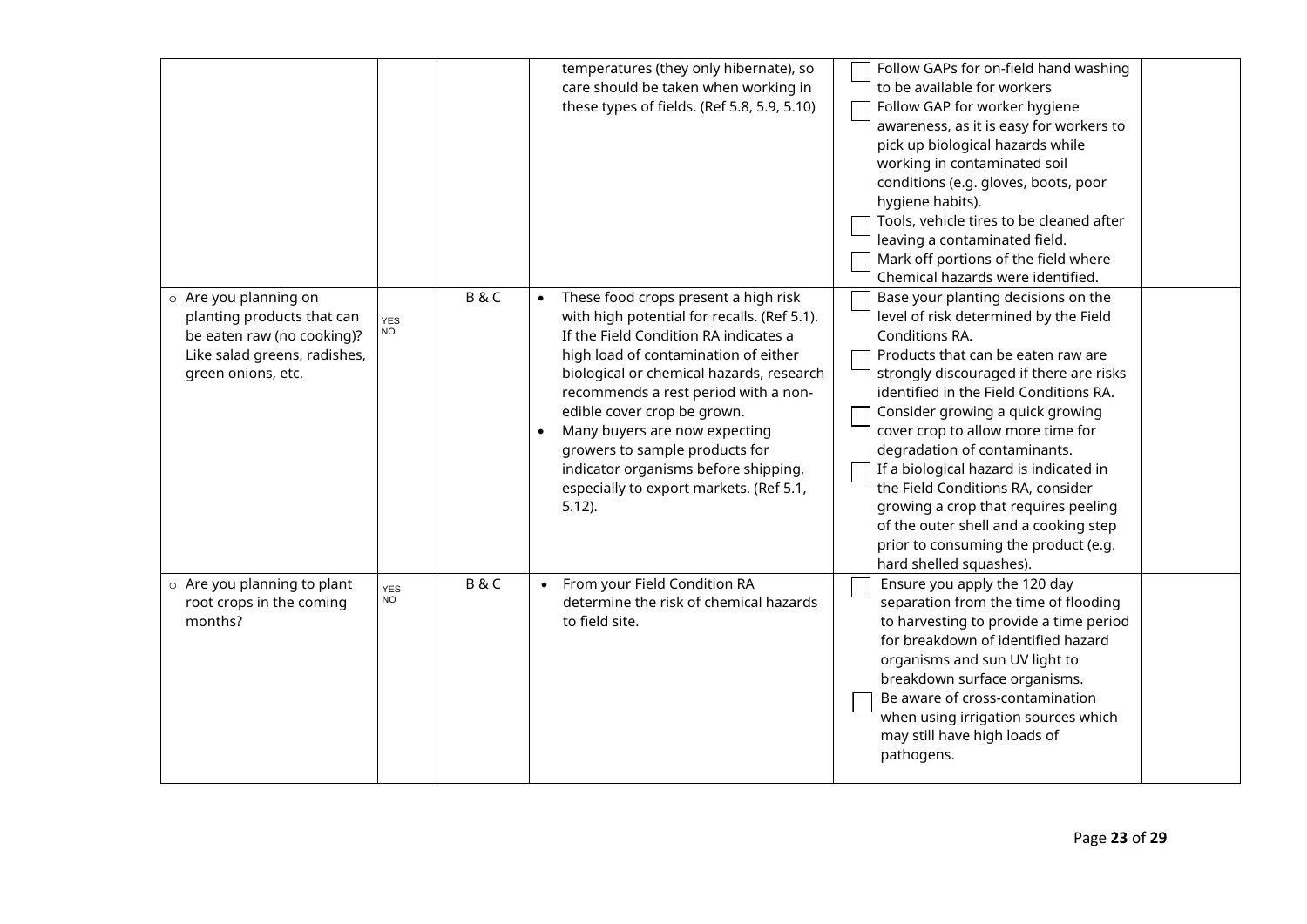|                                                                                                                                         |                  |                | temperatures (they only hibernate), so<br>care should be taken when working in<br>these types of fields. (Ref 5.8, 5.9, 5.10)                                                                                                                                                                                                                                                                                                                              | Follow GAPs for on-field hand washing<br>to be available for workers<br>Follow GAP for worker hygiene<br>awareness, as it is easy for workers to<br>pick up biological hazards while<br>working in contaminated soil<br>conditions (e.g. gloves, boots, poor<br>hygiene habits).<br>Tools, vehicle tires to be cleaned after<br>leaving a contaminated field.<br>Mark off portions of the field where<br>Chemical hazards were identified.                                                                                                                            |
|-----------------------------------------------------------------------------------------------------------------------------------------|------------------|----------------|------------------------------------------------------------------------------------------------------------------------------------------------------------------------------------------------------------------------------------------------------------------------------------------------------------------------------------------------------------------------------------------------------------------------------------------------------------|-----------------------------------------------------------------------------------------------------------------------------------------------------------------------------------------------------------------------------------------------------------------------------------------------------------------------------------------------------------------------------------------------------------------------------------------------------------------------------------------------------------------------------------------------------------------------|
| o Are you planning on<br>planting products that can<br>be eaten raw (no cooking)?<br>Like salad greens, radishes,<br>green onions, etc. | <b>YES</b><br>NO | B&C            | These food crops present a high risk<br>with high potential for recalls. (Ref 5.1).<br>If the Field Condition RA indicates a<br>high load of contamination of either<br>biological or chemical hazards, research<br>recommends a rest period with a non-<br>edible cover crop be grown.<br>Many buyers are now expecting<br>growers to sample products for<br>indicator organisms before shipping,<br>especially to export markets. (Ref 5.1,<br>$5.12$ ). | Base your planting decisions on the<br>level of risk determined by the Field<br>Conditions RA.<br>Products that can be eaten raw are<br>strongly discouraged if there are risks<br>identified in the Field Conditions RA.<br>Consider growing a quick growing<br>cover crop to allow more time for<br>degradation of contaminants.<br>If a biological hazard is indicated in<br>the Field Conditions RA, consider<br>growing a crop that requires peeling<br>of the outer shell and a cooking step<br>prior to consuming the product (e.g.<br>hard shelled squashes). |
| o Are you planning to plant<br>root crops in the coming<br>months?                                                                      | <b>YES</b><br>NO | <b>B&amp;C</b> | From your Field Condition RA<br>$\bullet$<br>determine the risk of chemical hazards<br>to field site.                                                                                                                                                                                                                                                                                                                                                      | Ensure you apply the 120 day<br>separation from the time of flooding<br>to harvesting to provide a time period<br>for breakdown of identified hazard<br>organisms and sun UV light to<br>breakdown surface organisms.<br>Be aware of cross-contamination<br>when using irrigation sources which<br>may still have high loads of<br>pathogens.                                                                                                                                                                                                                         |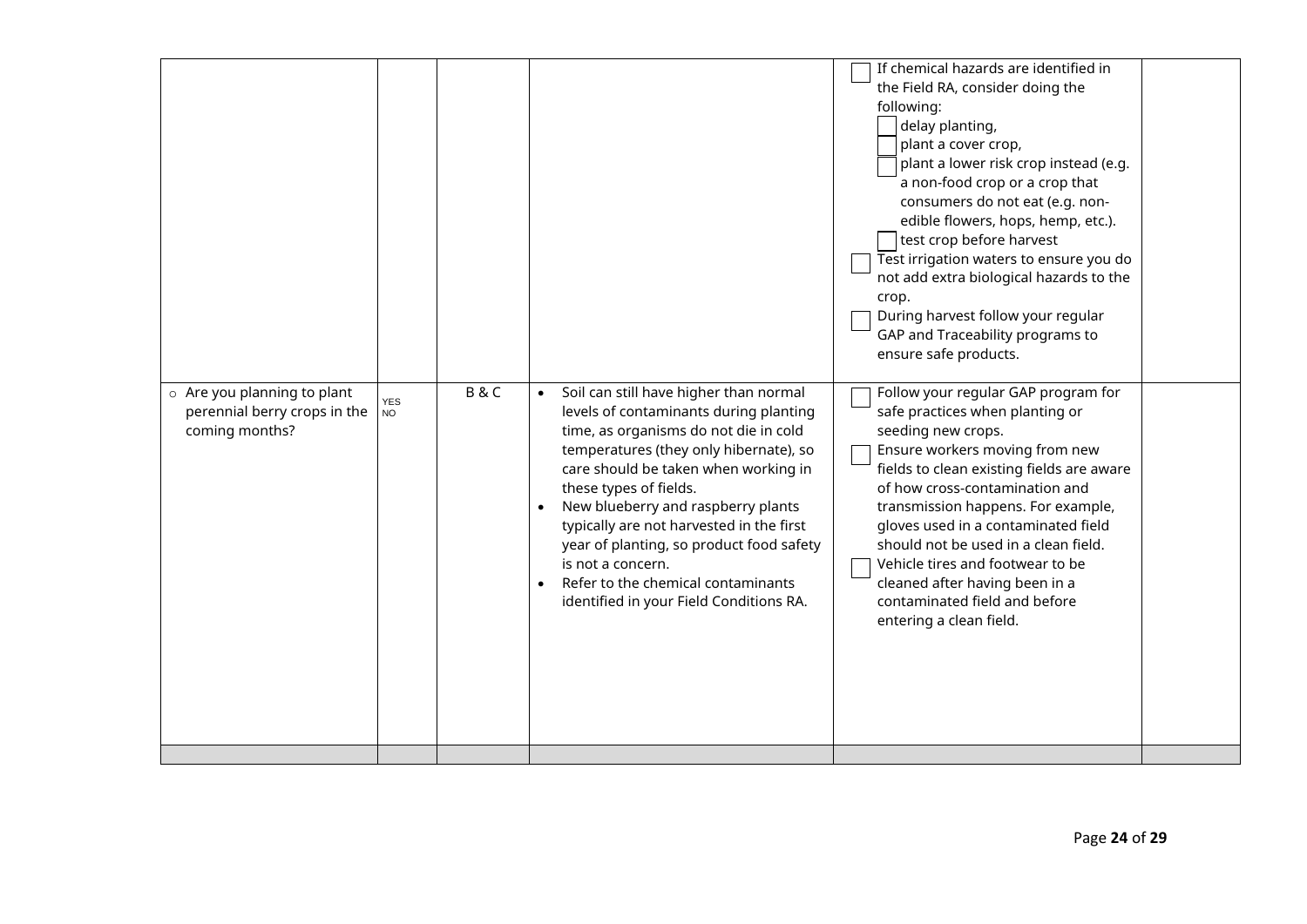|                                                                                     |                         |                |                                                                                                                                                                                                                                                                                                                                                                                                                                                                                        | If chemical hazards are identified in<br>the Field RA, consider doing the<br>following:<br>delay planting,<br>plant a cover crop,<br>plant a lower risk crop instead (e.g.<br>a non-food crop or a crop that<br>consumers do not eat (e.g. non-<br>edible flowers, hops, hemp, etc.).<br>test crop before harvest<br>Test irrigation waters to ensure you do<br>not add extra biological hazards to the<br>crop.<br>During harvest follow your regular<br>GAP and Traceability programs to<br>ensure safe products. |  |
|-------------------------------------------------------------------------------------|-------------------------|----------------|----------------------------------------------------------------------------------------------------------------------------------------------------------------------------------------------------------------------------------------------------------------------------------------------------------------------------------------------------------------------------------------------------------------------------------------------------------------------------------------|---------------------------------------------------------------------------------------------------------------------------------------------------------------------------------------------------------------------------------------------------------------------------------------------------------------------------------------------------------------------------------------------------------------------------------------------------------------------------------------------------------------------|--|
| $\circ$ Are you planning to plant<br>perennial berry crops in the<br>coming months? | <b>YES</b><br><b>NO</b> | <b>B&amp;C</b> | Soil can still have higher than normal<br>$\bullet$<br>levels of contaminants during planting<br>time, as organisms do not die in cold<br>temperatures (they only hibernate), so<br>care should be taken when working in<br>these types of fields.<br>New blueberry and raspberry plants<br>typically are not harvested in the first<br>year of planting, so product food safety<br>is not a concern.<br>Refer to the chemical contaminants<br>identified in your Field Conditions RA. | Follow your regular GAP program for<br>safe practices when planting or<br>seeding new crops.<br>Ensure workers moving from new<br>fields to clean existing fields are aware<br>of how cross-contamination and<br>transmission happens. For example,<br>gloves used in a contaminated field<br>should not be used in a clean field.<br>Vehicle tires and footwear to be<br>cleaned after having been in a<br>contaminated field and before<br>entering a clean field.                                                |  |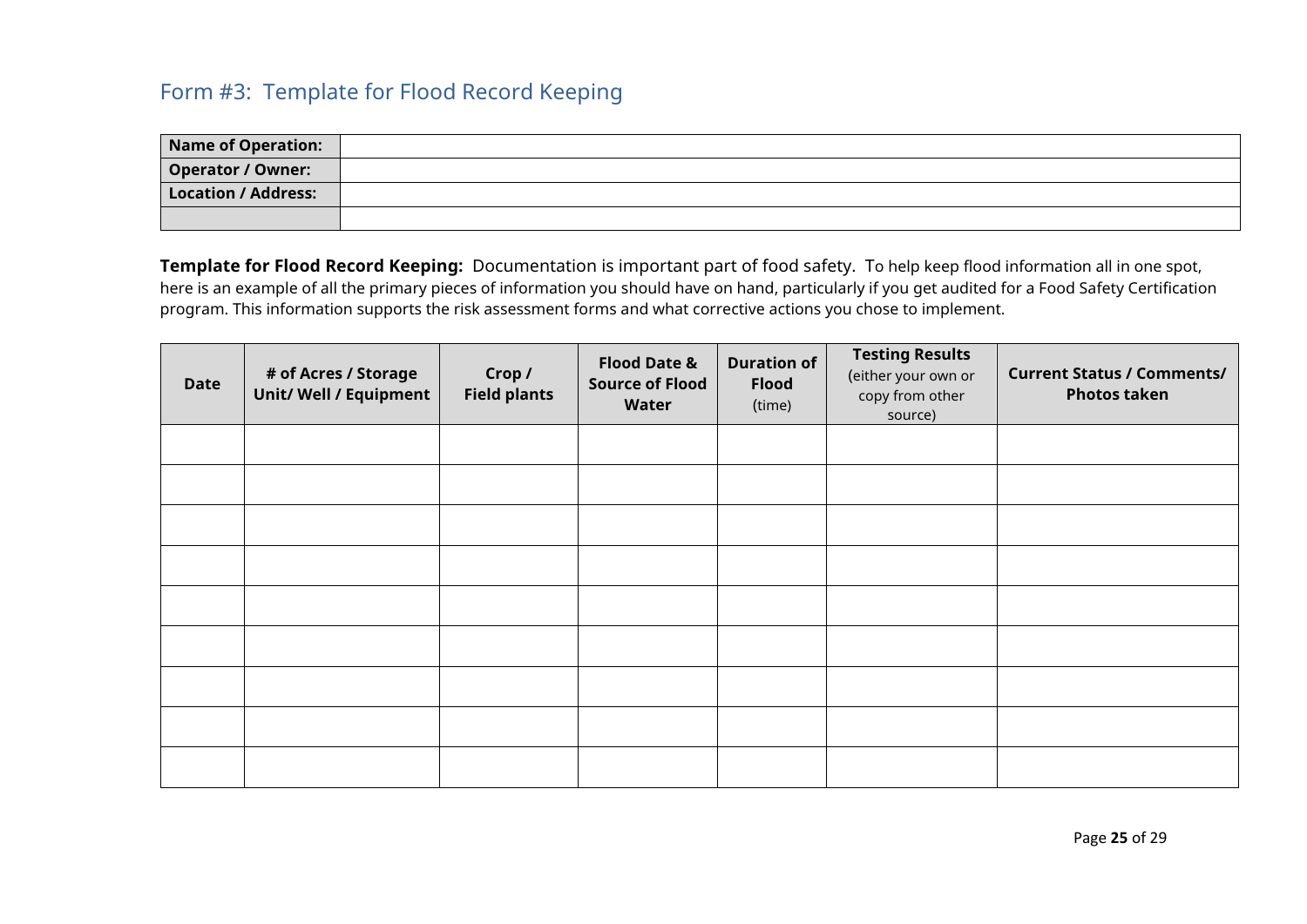## <span id="page-25-0"></span>Form #3: Template for Flood Record Keeping

| <b>Name of Operation:</b> |  |
|---------------------------|--|
| <b>Operator / Owner:</b>  |  |
| Location / Address:       |  |
|                           |  |

**Template for Flood Record Keeping:** Documentation is important part of food safety. To help keep flood information all in one spot, here is an example of all the primary pieces of information you should have on hand, particularly if you get audited for a Food Safety Certification program. This information supports the risk assessment forms and what corrective actions you chose to implement.

| <b>Date</b> | # of Acres / Storage<br><b>Unit/ Well / Equipment</b> | Crop /<br><b>Field plants</b> | <b>Flood Date &amp;</b><br><b>Source of Flood</b><br>Water | <b>Duration of</b><br><b>Flood</b><br>(time) | <b>Testing Results</b><br>(either your own or<br>copy from other<br>source) | <b>Current Status / Comments/</b><br><b>Photos taken</b> |
|-------------|-------------------------------------------------------|-------------------------------|------------------------------------------------------------|----------------------------------------------|-----------------------------------------------------------------------------|----------------------------------------------------------|
|             |                                                       |                               |                                                            |                                              |                                                                             |                                                          |
|             |                                                       |                               |                                                            |                                              |                                                                             |                                                          |
|             |                                                       |                               |                                                            |                                              |                                                                             |                                                          |
|             |                                                       |                               |                                                            |                                              |                                                                             |                                                          |
|             |                                                       |                               |                                                            |                                              |                                                                             |                                                          |
|             |                                                       |                               |                                                            |                                              |                                                                             |                                                          |
|             |                                                       |                               |                                                            |                                              |                                                                             |                                                          |
|             |                                                       |                               |                                                            |                                              |                                                                             |                                                          |
|             |                                                       |                               |                                                            |                                              |                                                                             |                                                          |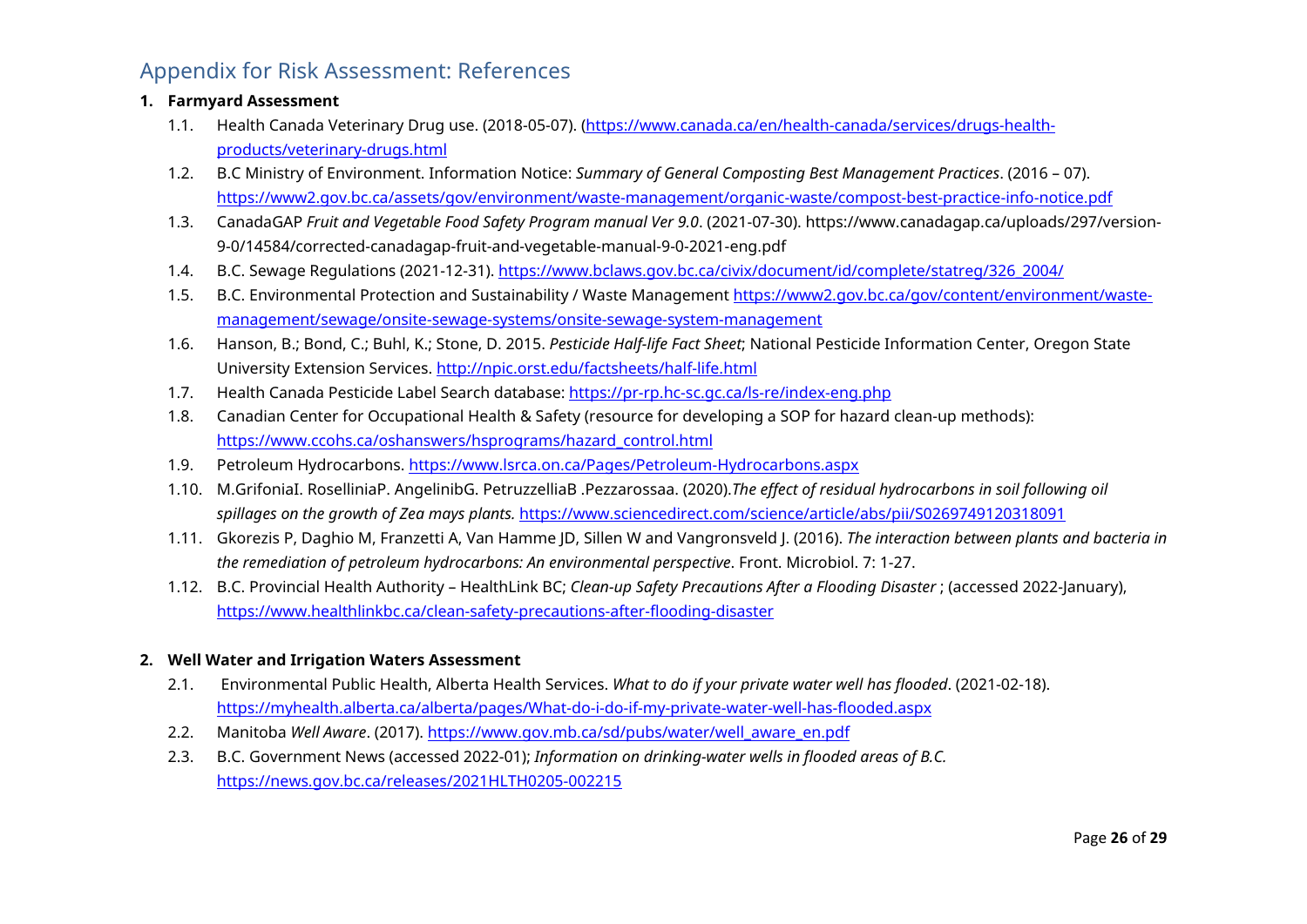## <span id="page-26-0"></span>Appendix for Risk Assessment: References

#### **1. Farmyard Assessment**

- 1.1. Health Canada Veterinary Drug use. (2018-05-07). [\(https://www.canada.ca/en/health-canada/services/drugs-health](https://www.canada.ca/en/health-canada/services/drugs-health-products/veterinary-drugs.html)[products/veterinary-drugs.html](https://www.canada.ca/en/health-canada/services/drugs-health-products/veterinary-drugs.html)
- 1.2. B.C Ministry of Environment. Information Notice: *Summary of General Composting Best Management Practices*. (2016 07). <https://www2.gov.bc.ca/assets/gov/environment/waste-management/organic-waste/compost-best-practice-info-notice.pdf>
- 1.3. CanadaGAP *Fruit and Vegetable Food Safety Program manual Ver 9.0*. (2021-07-30). https://www.canadagap.ca/uploads/297/version-9-0/14584/corrected-canadagap-fruit-and-vegetable-manual-9-0-2021-eng.pdf
- 1.4. B.C. Sewage Regulations (2021-12-31). [https://www.bclaws.gov.bc.ca/civix/document/id/complete/statreg/326\\_2004/](https://www.bclaws.gov.bc.ca/civix/document/id/complete/statreg/326_2004/)
- 1.5. B.C. Environmental Protection and Sustainability / Waste Management [https://www2.gov.bc.ca/gov/content/environment/waste](https://www2.gov.bc.ca/gov/content/environment/waste-management/sewage/onsite-sewage-systems/onsite-sewage-system-management)[management/sewage/onsite-sewage-systems/onsite-sewage-system-management](https://www2.gov.bc.ca/gov/content/environment/waste-management/sewage/onsite-sewage-systems/onsite-sewage-system-management)
- 1.6. Hanson, B.; Bond, C.; Buhl, K.; Stone, D. 2015. *Pesticide Half-life Fact Sheet*; National Pesticide Information Center, Oregon State University Extension Services.<http://npic.orst.edu/factsheets/half-life.html>
- 1.7. Health Canada Pesticide Label Search database[: https://pr-rp.hc-sc.gc.ca/ls-re/index-eng.php](https://pr-rp.hc-sc.gc.ca/ls-re/index-eng.php)
- 1.8. Canadian Center for Occupational Health & Safety (resource for developing a SOP for hazard clean-up methods): [https://www.ccohs.ca/oshanswers/hsprograms/hazard\\_control.html](https://www.ccohs.ca/oshanswers/hsprograms/hazard_control.html)
- 1.9. Petroleum Hydrocarbons.<https://www.lsrca.on.ca/Pages/Petroleum-Hydrocarbons.aspx>
- 1.10. M.GrifoniaI. RoselliniaP. AngelinibG. PetruzzelliaB .Pezzarossaa. (2020).*The effect of residual hydrocarbons in soil following oil spillages on the growth of Zea mays plants.* <https://www.sciencedirect.com/science/article/abs/pii/S0269749120318091>
- 1.11. Gkorezis P, Daghio M, Franzetti A, Van Hamme JD, Sillen W and Vangronsveld J. (2016). *The interaction between plants and bacteria in the remediation of petroleum hydrocarbons: An environmental perspective*. Front. Microbiol. 7: 1-27.
- 1.12. B.C. Provincial Health Authority HealthLink BC; *Clean-up Safety Precautions After a Flooding Disaster* ; (accessed 2022-January), <https://www.healthlinkbc.ca/clean-safety-precautions-after-flooding-disaster>

#### **2. Well Water and Irrigation Waters Assessment**

- 2.1. Environmental Public Health, Alberta Health Services. *What to do if your private water well has flooded*. (2021-02-18). <https://myhealth.alberta.ca/alberta/pages/What-do-i-do-if-my-private-water-well-has-flooded.aspx>
- 2.2. Manitoba *Well Aware*. (2017). [https://www.gov.mb.ca/sd/pubs/water/well\\_aware\\_en.pdf](https://www.gov.mb.ca/sd/pubs/water/well_aware_en.pdf)
- 2.3. B.C. Government News (accessed 2022-01); *Information on drinking-water wells in flooded areas of B.C.* <https://news.gov.bc.ca/releases/2021HLTH0205-002215>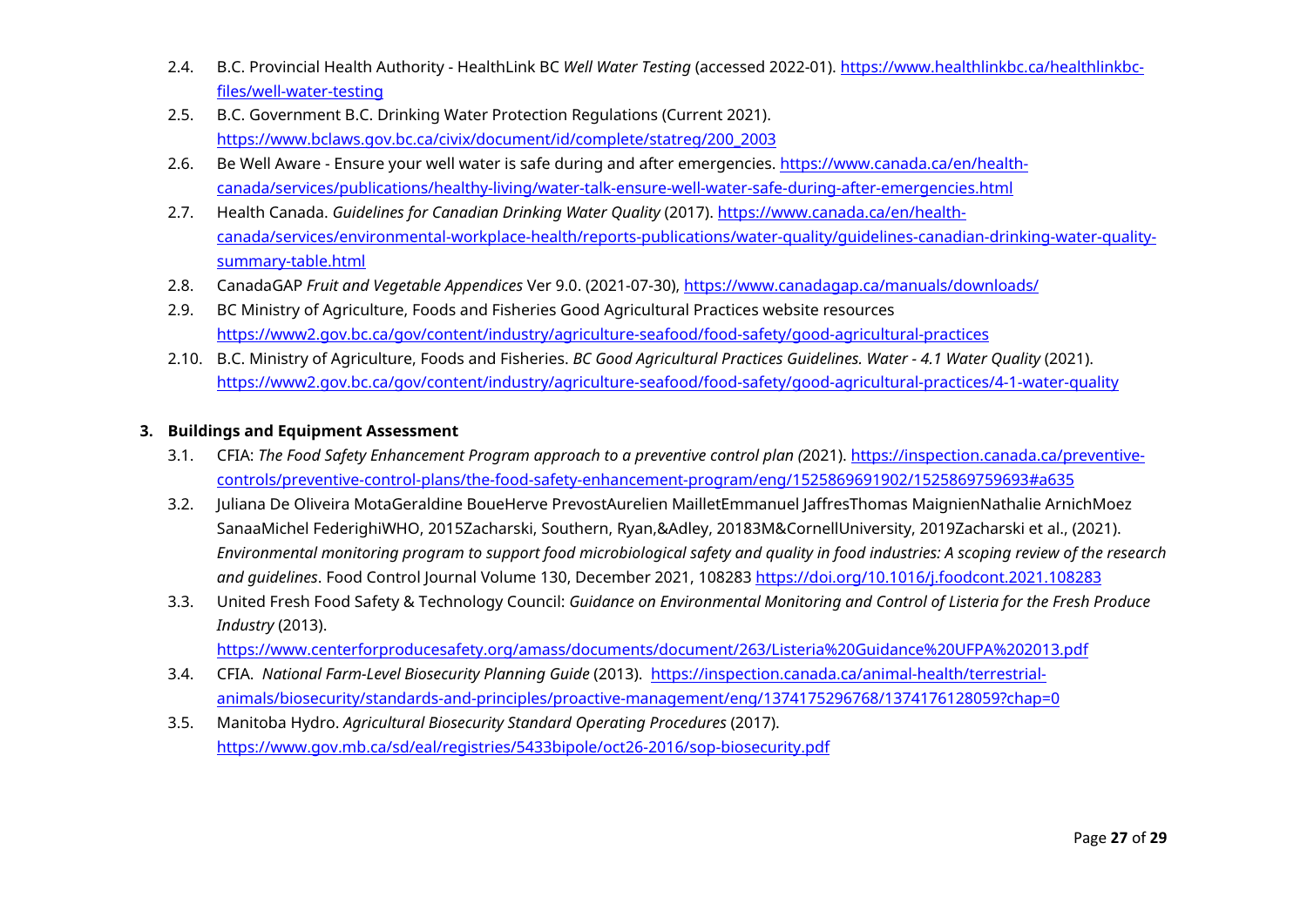- 2.4. B.C. Provincial Health Authority HealthLink BC *Well Water Testing* (accessed 2022-01). [https://www.healthlinkbc.ca/healthlinkbc](https://www.healthlinkbc.ca/healthlinkbc-files/well-water-testing)[files/well-water-testing](https://www.healthlinkbc.ca/healthlinkbc-files/well-water-testing)
- 2.5. B.C. Government B.C. Drinking Water Protection Regulations (Current 2021). [https://www.bclaws.gov.bc.ca/civix/document/id/complete/statreg/200\\_2003](https://www.bclaws.gov.bc.ca/civix/document/id/complete/statreg/200_2003)
- 2.6. Be Well Aware Ensure your well water is safe during and after emergencies. [https://www.canada.ca/en/health](https://www.canada.ca/en/health-canada/services/publications/healthy-living/water-talk-ensure-well-water-safe-during-after-emergencies.html)[canada/services/publications/healthy-living/water-talk-ensure-well-water-safe-during-after-emergencies.html](https://www.canada.ca/en/health-canada/services/publications/healthy-living/water-talk-ensure-well-water-safe-during-after-emergencies.html)
- 2.7. Health Canada. *Guidelines for Canadian Drinking Water Quality* (2017). [https://www.canada.ca/en/health](https://www.canada.ca/en/health-canada/services/environmental-workplace-health/reports-publications/water-quality/guidelines-canadian-drinking-water-quality-summary-table.html)[canada/services/environmental-workplace-health/reports-publications/water-quality/guidelines-canadian-drinking-water-quality](https://www.canada.ca/en/health-canada/services/environmental-workplace-health/reports-publications/water-quality/guidelines-canadian-drinking-water-quality-summary-table.html)[summary-table.html](https://www.canada.ca/en/health-canada/services/environmental-workplace-health/reports-publications/water-quality/guidelines-canadian-drinking-water-quality-summary-table.html)
- 2.8. CanadaGAP *Fruit and Vegetable Appendices* Ver 9.0. (2021-07-30),<https://www.canadagap.ca/manuals/downloads/>
- 2.9. BC Ministry of Agriculture, Foods and Fisheries Good Agricultural Practices website resources <https://www2.gov.bc.ca/gov/content/industry/agriculture-seafood/food-safety/good-agricultural-practices>
- 2.10. B.C. Ministry of Agriculture, Foods and Fisheries. *BC Good Agricultural Practices Guidelines. Water 4.1 Water Quality* (2021). <https://www2.gov.bc.ca/gov/content/industry/agriculture-seafood/food-safety/good-agricultural-practices/4-1-water-quality>

#### **3. Buildings and Equipment Assessment**

- 3.1. CFIA: *The Food Safety Enhancement Program approach to a preventive control plan (*2021). [https://inspection.canada.ca/preventive](https://inspection.canada.ca/preventive-controls/preventive-control-plans/the-food-safety-enhancement-program/eng/1525869691902/1525869759693#a635)[controls/preventive-control-plans/the-food-safety-enhancement-program/eng/1525869691902/1525869759693#a635](https://inspection.canada.ca/preventive-controls/preventive-control-plans/the-food-safety-enhancement-program/eng/1525869691902/1525869759693#a635)
- 3.2. Juliana De Oliveira MotaGeraldine BoueHerve PrevostAurelien MailletEmmanuel JaffresThomas MaignienNathalie ArnichMoez SanaaMichel FederighiWHO, 2015Zacharski, Southern, Ryan,&Adley, 20183M&CornellUniversity, 2019Zacharski et al., (2021). *Environmental monitoring program to support food microbiological safety and quality in food industries: A scoping review of the research and guidelines*. Food Control Journal Volume 130, December 2021, 108283<https://doi.org/10.1016/j.foodcont.2021.108283>
- 3.3. United Fresh Food Safety & Technology Council: *Guidance on Environmental Monitoring and Control of Listeria for the Fresh Produce Industry* (2013).

<https://www.centerforproducesafety.org/amass/documents/document/263/Listeria%20Guidance%20UFPA%202013.pdf>

- 3.4. CFIA. *National Farm-Level Biosecurity Planning Guide* (2013). [https://inspection.canada.ca/animal-health/terrestrial](https://inspection.canada.ca/animal-health/terrestrial-animals/biosecurity/standards-and-principles/proactive-management/eng/1374175296768/1374176128059?chap=0)[animals/biosecurity/standards-and-principles/proactive-management/eng/1374175296768/1374176128059?chap=0](https://inspection.canada.ca/animal-health/terrestrial-animals/biosecurity/standards-and-principles/proactive-management/eng/1374175296768/1374176128059?chap=0)
- 3.5. Manitoba Hydro. *Agricultural Biosecurity Standard Operating Procedures* (2017). <https://www.gov.mb.ca/sd/eal/registries/5433bipole/oct26-2016/sop-biosecurity.pdf>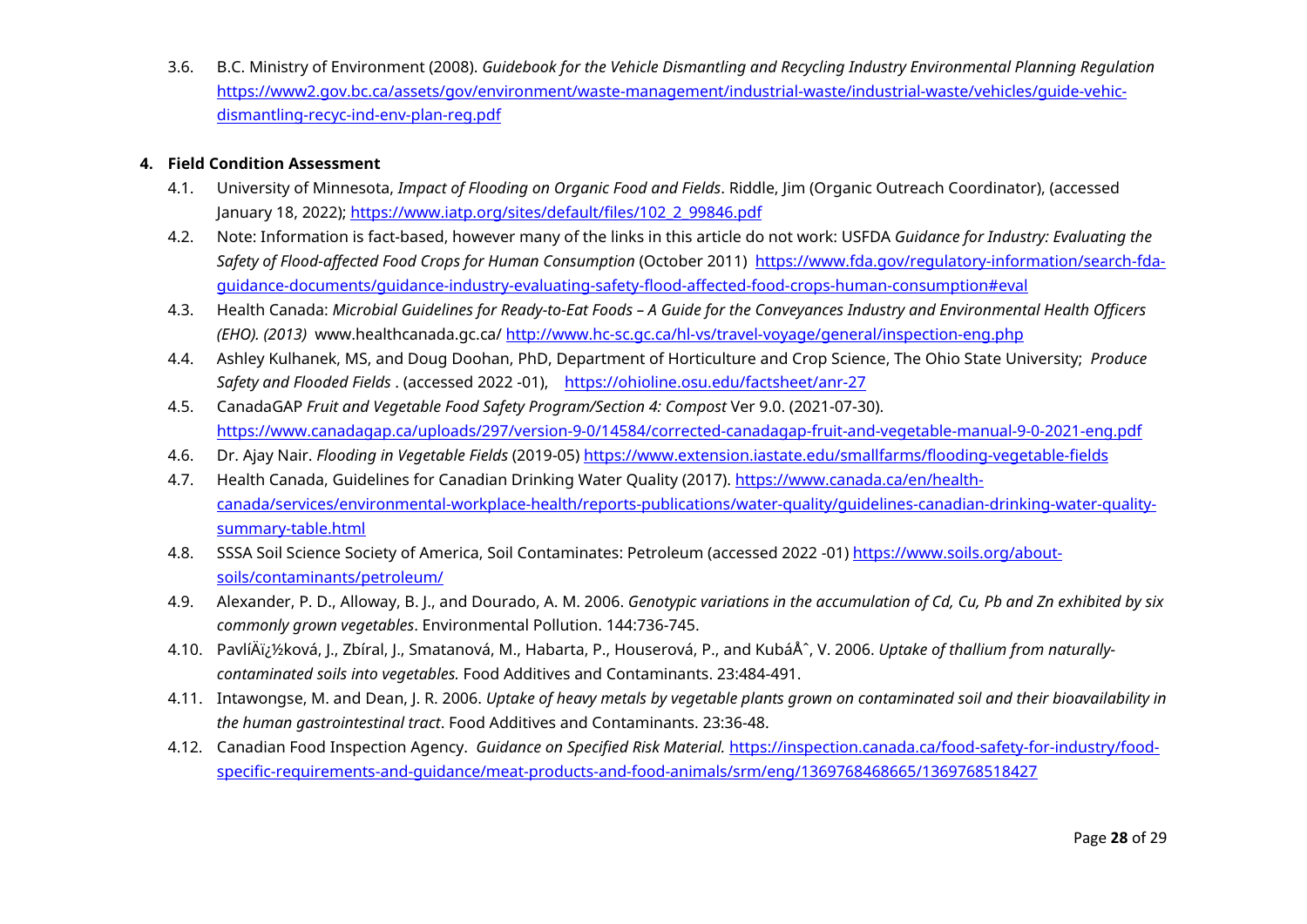3.6. B.C. Ministry of Environment (2008). *Guidebook for the Vehicle Dismantling and Recycling Industry Environmental Planning Regulation* [https://www2.gov.bc.ca/assets/gov/environment/waste-management/industrial-waste/industrial-waste/vehicles/guide-vehic](https://www2.gov.bc.ca/assets/gov/environment/waste-management/industrial-waste/industrial-waste/vehicles/guide-vehic-dismantling-recyc-ind-env-plan-reg.pdf)[dismantling-recyc-ind-env-plan-reg.pdf](https://www2.gov.bc.ca/assets/gov/environment/waste-management/industrial-waste/industrial-waste/vehicles/guide-vehic-dismantling-recyc-ind-env-plan-reg.pdf) 

#### **4. Field Condition Assessment**

- 4.1. University of Minnesota, *Impact of Flooding on Organic Food and Fields*. Riddle, Jim (Organic Outreach Coordinator), (accessed January 18, 2022); [https://www.iatp.org/sites/default/files/102\\_2\\_99846.pdf](https://www.iatp.org/sites/default/files/102_2_99846.pdf)
- 4.2. Note: Information is fact-based, however many of the links in this article do not work: USFDA *Guidance for Industry: Evaluating the Safety of Flood-affected Food Crops for Human Consumption* (October 2011) [https://www.fda.gov/regulatory-information/search-fda](https://www.fda.gov/regulatory-information/search-fda-guidance-documents/guidance-industry-evaluating-safety-flood-affected-food-crops-human-consumption#eval)[guidance-documents/guidance-industry-evaluating-safety-flood-affected-food-crops-human-consumption#eval](https://www.fda.gov/regulatory-information/search-fda-guidance-documents/guidance-industry-evaluating-safety-flood-affected-food-crops-human-consumption#eval)
- 4.3. Health Canada: *Microbial Guidelines for Ready-to-Eat Foods A Guide for the Conveyances Industry and Environmental Health Officers (EHO). (2013)* www.healthcanada.gc.ca/<http://www.hc-sc.gc.ca/hl-vs/travel-voyage/general/inspection-eng.php>
- 4.4. Ashley Kulhanek, MS, and Doug Doohan, PhD, Department of Horticulture and Crop Science, The Ohio State University; *Produce Safety and Flooded Fields* . (accessed 2022 -01), <https://ohioline.osu.edu/factsheet/anr-27>
- 4.5. CanadaGAP *Fruit and Vegetable Food Safety Program/Section 4: Compost* Ver 9.0. (2021-07-30). <https://www.canadagap.ca/uploads/297/version-9-0/14584/corrected-canadagap-fruit-and-vegetable-manual-9-0-2021-eng.pdf>
- 4.6. Dr. Ajay Nair. *Flooding in Vegetable Fields* (2019-05)<https://www.extension.iastate.edu/smallfarms/flooding-vegetable-fields>
- 4.7. Health Canada, Guidelines for Canadian Drinking Water Quality (2017). [https://www.canada.ca/en/health](https://www.canada.ca/en/health-canada/services/environmental-workplace-health/reports-publications/water-quality/guidelines-canadian-drinking-water-quality-summary-table.html)[canada/services/environmental-workplace-health/reports-publications/water-quality/guidelines-canadian-drinking-water-quality](https://www.canada.ca/en/health-canada/services/environmental-workplace-health/reports-publications/water-quality/guidelines-canadian-drinking-water-quality-summary-table.html)[summary-table.html](https://www.canada.ca/en/health-canada/services/environmental-workplace-health/reports-publications/water-quality/guidelines-canadian-drinking-water-quality-summary-table.html)
- 4.8. SSSA Soil Science Society of America, Soil Contaminates: Petroleum (accessed 2022 -01) [https://www.soils.org/about](https://www.soils.org/about-soils/contaminants/petroleum/)[soils/contaminants/petroleum/](https://www.soils.org/about-soils/contaminants/petroleum/)
- 4.9. Alexander, P. D., Alloway, B. J., and Dourado, A. M. 2006. *Genotypic variations in the accumulation of Cd, Cu, Pb and Zn exhibited by six commonly grown vegetables*. Environmental Pollution. 144:736-745.
- 4.10. PavlíÄi¿½ková, J., Zbíral, J., Smatanová, M., Habarta, P., Houserová, P., and KubáÅ^, V. 2006. Uptake of thallium from naturally*contaminated soils into vegetables.* Food Additives and Contaminants. 23:484-491.
- 4.11. Intawongse, M. and Dean, J. R. 2006. *Uptake of heavy metals by vegetable plants grown on contaminated soil and their bioavailability in the human gastrointestinal tract*. Food Additives and Contaminants. 23:36-48.
- 4.12. Canadian Food Inspection Agency. *Guidance on Specified Risk Material.* [https://inspection.canada.ca/food-safety-for-industry/food](https://inspection.canada.ca/food-safety-for-industry/food-specific-requirements-and-guidance/meat-products-and-food-animals/srm/eng/1369768468665/1369768518427)[specific-requirements-and-guidance/meat-products-and-food-animals/srm/eng/1369768468665/1369768518427](https://inspection.canada.ca/food-safety-for-industry/food-specific-requirements-and-guidance/meat-products-and-food-animals/srm/eng/1369768468665/1369768518427)